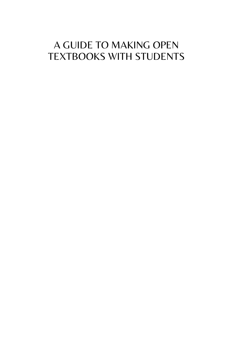# A GUIDE TO MAKING OPEN TEXTBOOKS WITH STUDENTS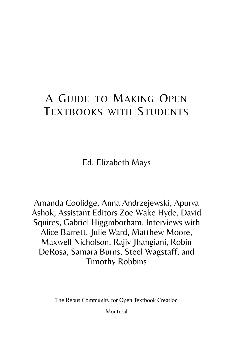# A GUIDE TO MAKING OPEN TEXTBOOKS WITH STUDENTS

Ed. Elizabeth Mays

Amanda Coolidge, Anna Andrzejewski, Apurva Ashok, Assistant Editors Zoe Wake Hyde, David Squires, Gabriel Higginbotham, Interviews with Alice Barrett, Julie Ward, Matthew Moore, Maxwell Nicholson, Rajiv Jhangiani, Robin DeRosa, Samara Burns, Steel Wagstaff, and Timothy Robbins

The Rebus Community for Open Textbook Creation

**Montreal**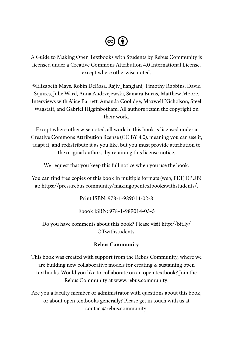$\left(\widehat{\mathbf{c}}\right)\left(\widehat{\mathbf{f}}\right)$ 

A Guide to Making Open Textbooks with Students by Rebus Community is licensed under a [Creative Commons Attribution 4.0 International License](https://creativecommons.org/licenses/by/4.0/), except where otherwise noted.

©Elizabeth Mays, Robin DeRosa, Rajiv Jhangiani, Timothy Robbins, David Squires, Julie Ward, Anna Andrzejewski, Samara Burns, Matthew Moore. Interviews with Alice Barrett, Amanda Coolidge, Maxwell Nicholson, Steel Wagstaff, and Gabriel Higginbotham. All authors retain the copyright on their work.

Except where otherwise noted, all work in this book is licensed under a Creative Commons Attribution license ([CC BY 4.0\)](https://creativecommons.org/licenses/by/4.0/), meaning you can use it, adapt it, and redistribute it as you like, but you must provide attribution to the original authors, by retaining this license notice.

We request that you keep this full notice when you use the book.

You can find free copies of this book in multiple formats (web, PDF, EPUB) at:<https://press.rebus.community/makingopentextbookswithstudents/>.

Print ISBN: 978-1-989014-02-8

Ebook ISBN: 978-1-989014-03-5

Do you have comments about this book? Please visit [http://bit.ly/](http://bit.ly/OTwithstudents) [OTwithstudents](http://bit.ly/OTwithstudents).

#### **Rebus Community**

This book was created with support from the Rebus Community, where we are building new collaborative models for creating & sustaining open textbooks. Would you like to collaborate on an open textbook? Join the Rebus Community at [www.rebus.community](https://www.rebus.community/).

Are you a faculty member or administrator with questions about this book, or about open textbooks generally? Please get in touch with us at [contact@rebus.community.](mailto:contact@rebus.community)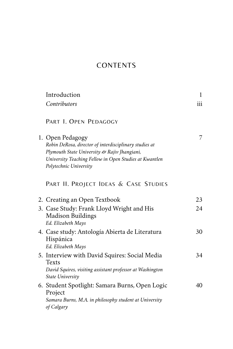# CONTENTS

| Introduction                                                                                                                                                                                                   | 1   |
|----------------------------------------------------------------------------------------------------------------------------------------------------------------------------------------------------------------|-----|
| Contributors                                                                                                                                                                                                   | iii |
| PART I. OPEN PEDAGOGY                                                                                                                                                                                          |     |
| 1. Open Pedagogy<br>Robin DeRosa, director of interdisciplinary studies at<br>Plymouth State University & Rajiv Jhangiani,<br>University Teaching Fellow in Open Studies at Kwantlen<br>Polytechnic University | 7   |
| PART II. PROJECT IDEAS & CASE STUDIES                                                                                                                                                                          |     |
| 2. Creating an Open Textbook                                                                                                                                                                                   | 23  |
| 3. Case Study: Frank Lloyd Wright and His<br><b>Madison Buildings</b><br>Ed. Elizabeth Mays                                                                                                                    | 24  |
| 4. Case study: Antología Abierta de Literatura<br>Hispánica<br>Ed. Elizabeth Mays                                                                                                                              | 30  |
| 5. Interview with David Squires: Social Media<br><b>Texts</b><br>David Squires, visiting assistant professor at Washington<br>State University                                                                 | 34  |
| 6. Student Spotlight: Samara Burns, Open Logic<br>Project<br>Samara Burns, M.A. in philosophy student at University<br>of Calgary                                                                              | 40  |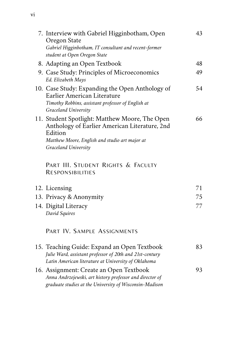| 7. Interview with Gabriel Higginbotham, Open<br>Oregon State<br>Gabriel Higginbotham, IT consultant and recent-former<br>student at Open Oregon State                                | 43 |
|--------------------------------------------------------------------------------------------------------------------------------------------------------------------------------------|----|
| 8. Adapting an Open Textbook                                                                                                                                                         | 48 |
| 9. Case Study: Principles of Microeconomics<br>Ed. Elizabeth Mays                                                                                                                    | 49 |
| 10. Case Study: Expanding the Open Anthology of<br>Earlier American Literature<br>Timothy Robbins, assistant professor of English at<br>Graceland University                         | 54 |
| 11. Student Spotlight: Matthew Moore, The Open<br>Anthology of Earlier American Literature, 2nd<br>Edition<br>Matthew Moore, English and studio art major at<br>Graceland University | 66 |
| PART III. STUDENT RIGHTS & FACULTY<br><b>RESPONSIBILITIES</b>                                                                                                                        |    |
| 12. Licensing                                                                                                                                                                        | 71 |
| 13. Privacy & Anonymity                                                                                                                                                              | 75 |
| 14. Digital Literacy                                                                                                                                                                 | 77 |
| David Squires                                                                                                                                                                        |    |
| PART IV. SAMPLE ASSIGNMENTS                                                                                                                                                          |    |
| 15. Teaching Guide: Expand an Open Textbook<br>Julie Ward, assistant professor of 20th and 21st-century<br>Latin American literature at University of Oklahoma                       | 83 |
| 16. Assignment: Create an Open Textbook<br>Anna Andrzejewski, art history professor and director of<br>graduate studies at the University of Wisconsin-Madison                       | 93 |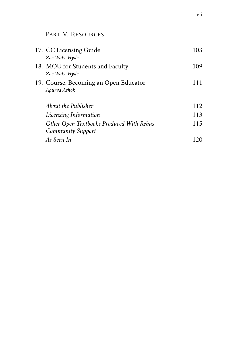#### PART V. R[ESOURCES](#page-108-0)

| 17. CC Licensing Guide<br>Zoe Wake Hyde                       | 103 |
|---------------------------------------------------------------|-----|
| 18. MOU for Students and Faculty<br>Zoe Wake Hyde             | 109 |
| 19. Course: Becoming an Open Educator<br>Apurva Ashok         | 111 |
| <b>About the Publisher</b>                                    | 112 |
| Licensing Information                                         | 113 |
| Other Open Textbooks Produced With Rebus<br>Community Support | 115 |
| As Seen In                                                    |     |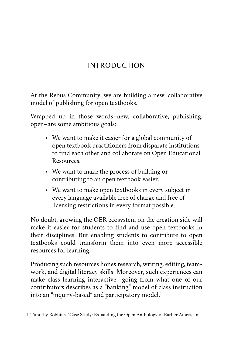## INTRODUCTION

<span id="page-8-0"></span>At the Rebus Community, we are building a new, collaborative model of publishing for open textbooks.

Wrapped up in those words–new, collaborative, publishing, open–are some ambitious goals:

- We want to make it easier for a global community of open textbook practitioners from disparate institutions to find each other and collaborate on Open Educational Resources.
- We want to make the process of building or contributing to an open textbook easier.
- We want to make open textbooks in every subject in every language available free of charge and free of licensing restrictions in every format possible.

No doubt, growing the OER ecosystem on the creation side will make it easier for students to find and use open textbooks in their disciplines. But enabling students to contribute to open textbooks could transform them into even more accessible resources for learning.

Producing such resources hones research, writing, editing, teamwork, and digital literacy skills Moreover, such experiences can make class learning interactive—going from what one of our contributors describes as a "banking" model of class instruction into an "inquiry-based" and participatory model.<sup>1</sup>

<sup>1.</sup> Timothy Robbins, "Case Study: Expanding the Open Anthology of Earlier American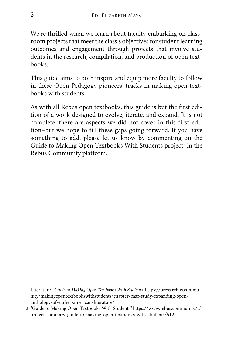We're thrilled when we learn about faculty embarking on classroom projects that meet the class's objectives for student learning outcomes and engagement through projects that involve students in the research, compilation, and production of open textbooks.

This guide aims to both inspire and equip more faculty to follow in these Open Pedagogy pioneers' tracks in making open textbooks with students.

As with all Rebus open textbooks, this guide is but the first edition of a work designed to evolve, iterate, and expand. It is not complete–there are aspects we did not cover in this first edition–but we hope to fill these gaps going forward. If you have something to add, please let us know by commenting on the [Guide to Making Open Textbooks With Students project](https://www.rebus.community/t/project-summary-guide-to-making-open-textbooks-with-students/512)<sup>2</sup> in the Rebus Community platform.

Literature," *Guide to Making Open Textbooks With Students,* [https://press.rebus.commu](#page-61-0)[nity/makingopentextbookswithstudents/chapter/case-study-expanding-open](#page-61-0)[anthology-of-earlier-american-literature/](#page-61-0).

2. "Guide to Making Open Textbooks With Students" https://www.rebus.community/t/ project-summary-guide-to-making-open-textbooks-with-students/512*.*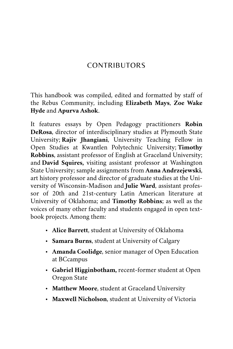### **CONTRIBUTORS**

<span id="page-10-0"></span>This handbook was compiled, edited and formatted by staff of the Rebus Community, including **Elizabeth Mays**, **Zoe Wake Hyde** and **Apurva Ashok**.

It features essays by Open Pedagogy practitioners **Robin DeRosa**, director of interdisciplinary studies at Plymouth State University; **Rajiv Jhangiani**, University Teaching Fellow in Open Studies at Kwantlen Polytechnic University; **Timothy Robbins**, assistant professor of English at Graceland University; and **David Squires,** visiting assistant professor at Washington State University; sample assignments from **Anna Andrzejewski**, art history professor and director of graduate studies at the University of Wisconsin-Madison and **Julie Ward**, assistant professor of 20th and 21st-century Latin American literature at University of Oklahoma; and **Timothy Robbins**; as well as the voices of many other faculty and students engaged in open textbook projects. Among them:

- **Alice Barrett**, student at University of Oklahoma
- **Samara Burns**, student at University of Calgary
- **Amanda Coolidge**, senior manager of Open Education at BCcampus
- **Gabriel Higginbotham,** recent-former student at Open Oregon State
- **Matthew Moore**, student at Graceland University
- **Maxwell Nicholson**, student at University of Victoria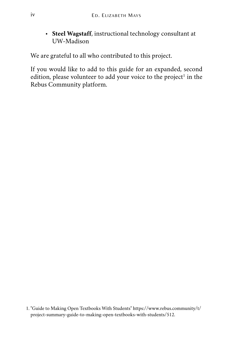• **Steel Wagstaff**, instructional technology consultant at UW-Madison

We are grateful to all who contributed to this project.

If you would like to add to this guide for an expanded, second edition, please volunteer to add your voice to the [project](https://www.rebus.community/t/project-summary-guide-to-making-open-textbooks-with-students/512) $^1$  in the Rebus Community platform.

<sup>1.</sup> "Guide to Making Open Textbooks With Students" https://www.rebus.community/t/ project-summary-guide-to-making-open-textbooks-with-students/512*.*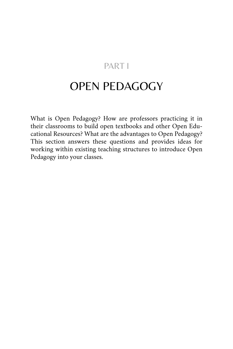## PART I

# OPEN PEDAGOGY

<span id="page-12-0"></span>What is Open Pedagogy? How are professors practicing it in their classrooms to build open textbooks and other Open Educational Resources? What are the advantages to Open Pedagogy? This section answers these questions and provides ideas for working within existing teaching structures to introduce Open Pedagogy into your classes.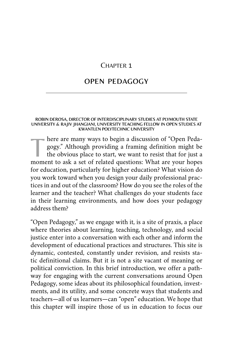#### CHAPTER 1

#### OPEN PEDAGOGY

#### <span id="page-14-0"></span>ROBIN DEROSA, DIRECTOR OF INTERDISCIPLINARY STUDIES AT PLYMOUTH STATE UNIVERSITY & RAJIV JHANGIANI, UNIVERSITY TEACHING FELLOW IN OPEN STUDIES AT KWANTLEN POLYTECHNIC UNIVERSITY

There are many ways to begin a discussion of "Open Peda-<br>gogy." Although providing a framing definition might be<br>the obvious place to start, we want to resist that for just a<br>memorit to sell a set of related questions. Wha gogy." Although providing a framing definition might be the obvious place to start, we want to resist that for just a moment to ask a set of related questions: What are your hopes for education, particularly for higher education? What vision do you work toward when you design your daily professional practices in and out of the classroom? How do you see the roles of the learner and the teacher? What challenges do your students face in their learning environments, and how does your pedagogy address them?

"Open Pedagogy," as we engage with it, is a site of praxis, a place where theories about learning, teaching, technology, and social justice enter into a conversation with each other and inform the development of educational practices and structures. This site is dynamic, contested, constantly under revision, and resists static definitional claims. But it is not a site vacant of meaning or political conviction. In this brief introduction, we offer a pathway for engaging with the current conversations around Open Pedagogy, some ideas about its philosophical foundation, investments, and its utility, and some concrete ways that students and teachers—all of us learners—can "open" education. We hope that this chapter will inspire those of us in education to focus our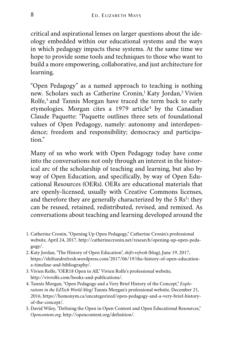critical and aspirational lenses on larger questions about the ideology embedded within our educational systems and the ways in which pedagogy impacts these systems. At the same time we hope to provide some tools and techniques to those who want to build a more empowering, collaborative, and just architecture for learning.

"Open Pedagogy" as a named approach to teaching is nothing new. Scholars such as [Catherine Cronin,](http://catherinecronin.net/research/opening-up-open-pedagogy/)<sup>[1](http://catherinecronin.net/research/opening-up-open-pedagogy/)</sup> [Katy Jordan,](https://shiftandrefresh.wordpress.com/2017/06/19/the-history-of-open-education-a-timeline-and-bibliography/)<sup>[2](https://shiftandrefresh.wordpress.com/2017/06/19/the-history-of-open-education-a-timeline-and-bibliography/)</sup> [Vivien](http://vivrolfe.com/books-and-publications/) [Rolfe,](http://vivrolfe.com/books-and-publications/)<sup>[3](http://vivrolfe.com/books-and-publications/)</sup> and Tannis Morgan have traced the term back to early etymologies. [Morgan cites a 1979 article](https://homonym.ca/uncategorized/open-pedagogy-and-a-very-brief-history-of-the-concept/)<sup>[4](https://homonym.ca/uncategorized/open-pedagogy-and-a-very-brief-history-of-the-concept/)</sup> by the Canadian Claude Paquette: "Paquette outlines three sets of foundational values of Open Pedagogy, namely: autonomy and interdependence; freedom and responsibility; democracy and participation."

Many of us who work with Open Pedagogy today have come into the conversations not only through an interest in the historical arc of the scholarship of teaching and learning, but also by way of Open Education, and specifically, by way of Open Educational Resources (OERs). OERs are educational materials that are openly-licensed, usually with Creative Commons licenses, and therefore they are generally characterized by the [5 Rs](http://opencontent.org/definition/)<sup>[5](http://opencontent.org/definition/)</sup>: they can be reused, retained, redistributed, revised, and remixed. As conversations about teaching and learning developed around the

- [1.](http://catherinecronin.net/research/opening-up-open-pedagogy/) [Catherine Cronin, "Opening Up Open Pedagogy," Catherine Cronin's professional](http://catherinecronin.net/research/opening-up-open-pedagogy/)  website, April 24, 2017, http://catherinecronin.net/research/opening-up-open-pedagogy/.
- [2.](https://shiftandrefresh.wordpress.com/2017/06/19/the-history-of-open-education-a-timeline-and-bibliography/) Katy Jordan, "The History of Open Education", *shift+refresh* (blog), June 19, 2017, [https://shiftandrefresh.wordpress.com/2017/06/19/the-history-of-open-education](https://shiftandrefresh.wordpress.com/2017/06/19/the-history-of-open-education-a-timeline-and-bibliography/)a-timeline-and-bibliography/.
- [3.](http://vivrolfe.com/books-and-publications/) [Vivien Rolfe, "OER18 Open to All," Vivien Rolfe's professional website,](http://vivrolfe.com/books-and-publications/)  http://vivrolfe.com/books-and-publications/.
- [4.](https://homonym.ca/uncategorized/open-pedagogy-and-a-very-brief-history-of-the-concept/) Tannis Morgan, "Open Pedagogy and a Very Brief History of the Concept," *Explorations in the EdTech World (blog)* Tannis Morgan's professional website, December 21, [2016, https://homonym.ca/uncategorized/open-pedagogy-and-a-very-brief-history](https://homonym.ca/uncategorized/open-pedagogy-and-a-very-brief-history-of-the-concept/)of-the-concept/.
- [5.](http://opencontent.org/definition/) [David Wiley, "Defining the Open in Open Content and Open Educational Resources,"](http://opencontent.org/definition/)  *Opencontent.org,* http://opencontent.org/definition/.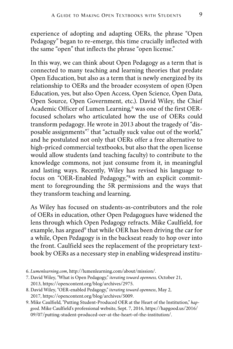experience of adopting and adapting OERs, the phrase "Open Pedagogy" began to re-emerge, this time crucially inflected with the same "open" that inflects the phrase "open license."

In this way, we can think about Open Pedagogy as a term that is connected to many teaching and learning theories that predate Open Education, but also as a term that is newly energized by its relationship to OERs and the broader ecosystem of open (Open Education, yes, but also Open Access, Open Science, Open Data, Open Source, Open Government, etc.). David Wiley, the Chief Academic Officer of [Lumen Learning,](http://lumenlearning.com/about/mission/)<sup>[6](http://lumenlearning.com/about/mission/)</sup> was one of the first OERfocused scholars who articulated how the use of OERs could transform pedagogy. He wrote in 2013 about the tragedy of ["dis](https://opencontent.org/blog/archives/2975)[posable assignments"](https://opencontent.org/blog/archives/2975)[7](https://opencontent.org/blog/archives/2975) that "actually suck value out of the world," and he postulated not only that OERs offer a free alternative to high-priced commercial textbooks, but also that the open license would allow students (and teaching faculty) to contribute to the knowledge commons, not just consume from it, in meaningful and lasting ways. Recently, Wiley has revised his language to focus on ["OER-Enabled Pedagogy,"](https://opencontent.org/blog/archives/5009) [8](https://opencontent.org/blog/archives/5009) with an explicit commitment to foregrounding the 5R permissions and the ways that they transform teaching and learning.

As Wiley has focused on students-as-contributors and the role of OERs in education, other Open Pedagogues have widened the lens through which Open Pedagogy refracts. Mike Caulfield, for example, [has argued](https://hapgood.us/2016/09/07/putting-student-produced-oer-at-the-heart-of-the-institution/)<sup>[9](https://hapgood.us/2016/09/07/putting-student-produced-oer-at-the-heart-of-the-institution/)</sup> that while OER has been driving the car for a while, Open Pedagogy is in the backseat ready to hop over into the front. Caulfield sees the replacement of the proprietary textbook by OERs as a necessary step in enabling widespread institu-

- [6.](http://lumenlearning.com/about/mission/) *Lumenlearning.com*[, http://lumenlearning.com/about/mission/.](http://lumenlearning.com/about/mission/)
- [7.](https://opencontent.org/blog/archives/2975) David Wiley, "What is Open Pedagogy," *iterating toward openness,* October 21, 2013, [https://opencontent.org/blog/archives/2975.](https://opencontent.org/blog/archives/2975)
- [8.](https://opencontent.org/blog/archives/5009) David Wiley, "OER-enabled Pedagogy," *iterating toward openness*, May 2, 2017, [https://opencontent.org/blog/archives/5009.](https://opencontent.org/blog/archives/5009)
- [9.](https://hapgood.us/2016/09/07/putting-student-produced-oer-at-the-heart-of-the-institution/) Mike Caulfield, "Putting Student-Produced OER at the Heart of the Institution," *hapgood,* [Mike Caulfield's professional website, Sept. 7, 2016, https://hapgood.us/2016/](https://hapgood.us/2016/09/07/putting-student-produced-oer-at-the-heart-of-the-institution/) 09/07/putting-student-produced-oer-at-the-heart-of-the-institution/.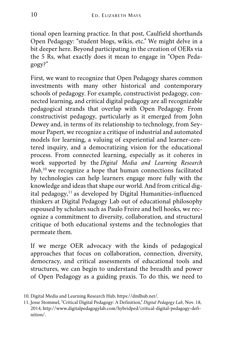tional open learning practice. In that post, Caulfield shorthands Open Pedagogy: "student blogs, wikis, etc." We might delve in a bit deeper here. Beyond participating in the creation of OERs via the 5 Rs, what exactly does it mean to engage in "Open Pedagogy?"

First, we want to recognize that Open Pedagogy shares common investments with many other historical and contemporary schools of pedagogy. For example, constructivist pedagogy, connected learning, and critical digital pedagogy are all recognizable pedagogical strands that overlap with Open Pedagogy. From constructivist pedagogy, particularly as it emerged from John Dewey and, in terms of its relationship to technology, from Seymour Papert, we recognize a critique of industrial and automated models for learning, a valuing of experiential and learner-centered inquiry, and a democratizing vision for the educational process. From connected learning, especially as it coheres in work supported by the *[Digital Media and Learning Research](http://dmlhub.net/) [Hub](http://dmlhub.net/)*, [10](http://dmlhub.net/) we recognize a hope that human connections facilitated by technologies can help learners engage more fully with the knowledge and ideas that shape our world. And from [critical dig](http://www.digitalpedagogylab.com/hybridped/critical-digital-pedagogy-definition/)[ital pedagogy,](http://www.digitalpedagogylab.com/hybridped/critical-digital-pedagogy-definition/) [11](http://www.digitalpedagogylab.com/hybridped/critical-digital-pedagogy-definition/) as developed by Digital Humanities-influenced thinkers at Digital Pedagogy Lab out of educational philosophy espoused by scholars such as Paulo Freire and bell hooks, we recognize a commitment to diversity, collaboration, and structural critique of both educational systems and the technologies that permeate them.

If we merge OER advocacy with the kinds of pedagogical approaches that focus on collaboration, connection, diversity, democracy, and critical assessments of educational tools and structures, we can begin to understand the breadth and power of Open Pedagogy as a guiding praxis. To do this, we need to

[<sup>10.</sup>](http://dmlhub.net/) [Digital Media and Learning Research Hub, https://dmlhub.net/.](http://dmlhub.net/) 

[<sup>11.</sup>](http://www.digitalpedagogylab.com/hybridped/critical-digital-pedagogy-definition/) Jesse Stommel, "Critical Digital Pedagogy: A Definition," *Digital Pedagogy Lab*, Nov. 18, [2014, http://www.digitalpedagogylab.com/hybridped/critical-digital-pedagogy-defi](http://www.digitalpedagogylab.com/hybridped/critical-digital-pedagogy-definition/)nition/.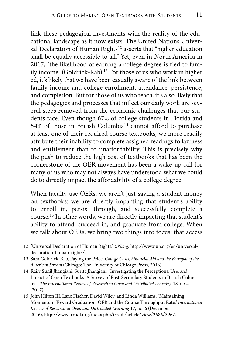link these pedagogical investments with the reality of the educational landscape as it now exists. The [United Nations Univer](http://www.un.org/en/universal-declaration-human-rights/)[sal Declaration of Human Rights](http://www.un.org/en/universal-declaration-human-rights/)<sup>[12](http://www.un.org/en/universal-declaration-human-rights/)</sup> asserts that "higher education shall be equally accessible to all." Yet, even in North America in 2017, "the likelihood of earning a college degree is tied to family income" [\(Goldrick-Rab\).](http://press.uchicago.edu/ucp/books/book/chicago/P/bo24663096.html)[13](http://press.uchicago.edu/ucp/books/book/chicago/P/bo24663096.html) For those of us who work in higher ed, it's likely that we have been casually aware of the link between family income and college enrollment, attendance, persistence, and completion. But for those of us who teach, it's also likely that the pedagogies and processes that inflect our daily work are several steps removed from the economic challenges that our students face. Even though [67% of college students in Florida and](http://www.irrodl.org/index.php/irrodl/article/view/3012) [54% of those in British Columbia](http://www.irrodl.org/index.php/irrodl/article/view/3012)[14](http://www.irrodl.org/index.php/irrodl/article/view/3012) cannot afford to purchase at least one of their required course textbooks, we more readily attribute their inability to complete assigned readings to laziness and entitlement than to unaffordability. This is precisely why the push to reduce the high cost of textbooks that has been the cornerstone of the OER movement has been a wake-up call for many of us who may not always have understood what we could do to directly impact the affordability of a college degree.

When faculty use OERs, we aren't just saving a student money on textbooks: [we are directly impacting that student's ability](http://www.irrodl.org/index.php/irrodl/article/view/2686/3967) [to enroll in, persist through, and successfully complete a](http://www.irrodl.org/index.php/irrodl/article/view/2686/3967) [course.](http://www.irrodl.org/index.php/irrodl/article/view/2686/3967)[15](http://www.irrodl.org/index.php/irrodl/article/view/2686/3967) In other words, we are directly impacting that student's ability to attend, succeed in, and graduate from college. When we talk about OERs, we bring two things into focus: that access

- [12.](http://www.un.org/en/universal-declaration-human-rights/) ["Universal Declaration of Human Rights,"](http://www.un.org/en/universal-declaration-human-rights/) *UN.org*, http://www.un.org/en/universaldeclaration-human-rights/.
- [13.](http://press.uchicago.edu/ucp/books/book/chicago/P/bo24663096.html) Sara Goldrick-Rab, Paying the Price: *College Costs, Financial Aid and the Betrayal of the American Dream* [\(Chicago: The University of Chicago Press, 2016\).](http://press.uchicago.edu/ucp/books/book/chicago/P/bo24663096.html)
- [14.](http://www.irrodl.org/index.php/irrodl/article/view/3012) Rajiv Sunil Jhangiani, Surita Jhangiani, "Investigating the Perceptions, Use, and [Impact of Open Textbooks: A Survey of Post-Secondary Students in British Colum](http://www.irrodl.org/index.php/irrodl/article/view/3012)bia," *The International Review of Research in Open and Distributed Learning* 18, no 4 (2017).
- [15.](http://www.irrodl.org/index.php/irrodl/article/view/2686/3967) [John Hilton III, Lane Fischer, David Wiley, and Linda Williams, "Maintaining](http://www.irrodl.org/index.php/irrodl/article/view/2686/3967)  Momentum Toward Graduation: OER and the Course Throughput Rate." *International Review of Research in Open and Distributed Learning* 17, no. 6 (December 2016), http://www.irrodl.org/index.php/irrodl/article/view/2686/3967.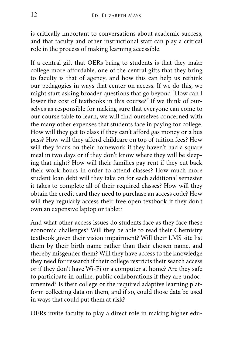is critically important to conversations about academic success, and that faculty and other instructional staff can play a critical role in the process of making learning accessible.

If a central gift that OERs bring to students is that they make college more affordable, one of the central gifts that they bring to faculty is that of agency, and how this can help us rethink our pedagogies in ways that center on access. If we do this, we might start asking broader questions that go beyond "How can I lower the cost of textbooks in this course?" If we think of ourselves as responsible for making sure that everyone can come to our course table to learn, we will find ourselves concerned with the many other expenses that students face in paying for college. How will they get to class if they can't afford gas money or a bus pass? How will they afford childcare on top of tuition fees? How will they focus on their homework if they haven't had a square meal in two days or if they don't know where they will be sleeping that night? How will their families pay rent if they cut back their work hours in order to attend classes? How much more student loan debt will they take on for each additional semester it takes to complete all of their required classes? How will they obtain the credit card they need to purchase an access code? How will they regularly access their free open textbook if they don't own an expensive laptop or tablet?

And what other access issues do students face as they face these economic challenges? Will they be able to read their Chemistry textbook given their vision impairment? Will their LMS site list them by their birth name rather than their chosen name, and thereby misgender them? Will they have access to the knowledge they need for research if their college restricts their search access or if they don't have Wi-Fi or a computer at home? Are they safe to participate in online, public collaborations if they are undocumented? Is their college or the required adaptive learning platform collecting data on them, and if so, could those data be used in ways that could put them at risk?

OERs invite faculty to play a direct role in making higher edu-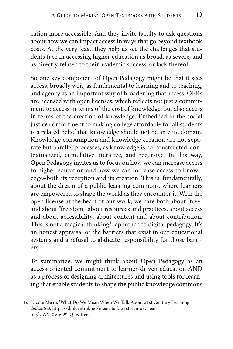cation more accessible. And they invite faculty to ask questions about how we can impact access in ways that go beyond textbook costs. At the very least, they help us see the challenges that students face in accessing higher education as broad, as severe, and as directly related to their academic success, or lack thereof.

So one key component of Open Pedagogy might be that it sees access, broadly writ, as fundamental to learning and to teaching, and agency as an important way of broadening that access. OERs are licensed with open licenses, which reflects not just a commitment to access in terms of the cost of knowledge, but also access in terms of the creation of knowledge. Embedded in the social justice commitment to making college affordable for all students is a related belief that knowledge should not be an elite domain. Knowledge consumption and knowledge creation are not separate but parallel processes, as knowledge is co-constructed, contextualized, cumulative, iterative, and recursive. In this way, Open Pedagogy invites us to focus on how we can increase access to higher education and how we can increase access to knowledge–both its reception and its creation. This is, fundamentally, about the dream of a public learning commons, where learners are empowered to shape the world as they encounter it. With the open license at the heart of our work, we care both about "free" and about "freedom," about resources and practices, about access and about accessibility, about content and about contribution. This is not a [magical thinking](https://dmlcentral.net/mean-talk-21st-century-learning/#.WSb0VJg29TQ.twitter)<sup>[16](https://dmlcentral.net/mean-talk-21st-century-learning/#.WSb0VJg29TQ.twitter)</sup> approach to digital pedagogy. It's an honest appraisal of the barriers that exist in our educational systems and a refusal to abdicate responsibility for those barriers.

To summarize, we might think about Open Pedagogy as an access-oriented commitment to learner-driven education AND as a process of designing architectures and using tools for learning that enable students to shape the public knowledge commons

[<sup>16.</sup>](https://dmlcentral.net/mean-talk-21st-century-learning/#.WSb0VJg29TQ.twitter) [Nicole Mirra, "What Do We Mean When We Talk About 21st Century Learning?"](https://dmlcentral.net/mean-talk-21st-century-learning/#.WSb0VJg29TQ.twitter)  *dmlcentral*, https://dmlcentral.net/mean-talk-21st-century-learning/#.WSb0VJg29TQ.twitter.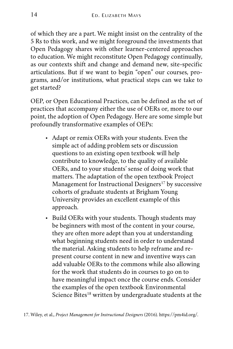of which they are a part. We might insist on the centrality of the 5 Rs to this work, and we might foreground the investments that Open Pedagogy shares with other learner-centered approaches to education. We might reconstitute Open Pedagogy continually, as our contexts shift and change and demand new, site-specific articulations. But if we want to begin "open" our courses, programs, and/or institutions, what practical steps can we take to get started?

OEP, or Open Educational Practices, can be defined as the set of practices that accompany either the use of OERs or, more to our point, the adoption of Open Pedagogy. Here are some simple but profoundly transformative examples of OEPs:

- Adapt or remix OERs with your students. Even the simple act of adding problem sets or discussion questions to an existing open textbook will help contribute to knowledge, to the quality of available OERs, and to your students' sense of doing work that matters. The adaptation of the open textbook [Project](https://pm4id.org/)  [Management for Instructional Designers](https://pm4id.org/)<sup>[17](https://pm4id.org/)</sup> by successive cohorts of graduate students at Brigham Young University provides an excellent example of this approach.
- Build OERs with your students. Though students may be beginners with most of the content in your course, they are often more adept than you at understanding what beginning students need in order to understand the material. Asking students to help reframe and represent course content in new and inventive ways can add valuable OERs to the commons while also allowing for the work that students do in courses to go on to have meaningful impact once the course ends. Consider the examples of the open textbook [Environmental](https://osu.pb.unizin.org/sciencebites/) [Science Bites](https://osu.pb.unizin.org/sciencebites/)<sup>[18](https://osu.pb.unizin.org/sciencebites/)</sup> written by undergraduate students at the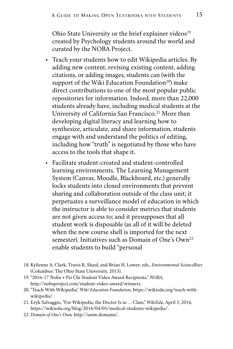Ohio State University or the [brief explainer videos](http://nobaproject.com/student-video-award/winners)<sup>19</sup> created by Psychology students around the world and curated by the NOBA Project.

- Teach your students how to edit Wikipedia articles. By adding new content, revising existing content, adding citations, or adding images, students can (with the support of the [Wiki Education Foundation](https://wikiedu.org/teach-with-wikipedia/)<sup>[20](https://wikiedu.org/teach-with-wikipedia/)</sup>) make direct contributions to one of the most popular public repositories for information. Indeed, more than 22,000 students already have, including [medical students at the](https://wikiedu.org/blog/2016/04/05/medical-students-wikipedia/) [University of California San Francisco.](https://wikiedu.org/blog/2016/04/05/medical-students-wikipedia/)<sup>[21](https://wikiedu.org/blog/2016/04/05/medical-students-wikipedia/)</sup> More than developing digital literacy and learning how to synthesize, articulate, and share information, students engage with and understand the politics of editing, including how "truth" is negotiated by those who have access to the tools that shape it.
- Facilitate student-created and student-controlled learning environments. The Learning Management System (Canvas, Moodle, Blackboard, etc.) generally locks students into closed environments that prevent sharing and collaboration outside of the class unit; it perpetuates a surveillance model of education in which the instructor is able to consider metrics that students are not given access to; and it presupposes that all student work is disposable (as all of it will be deleted when the new course shell is imported for the next semester). Initiatives such as Domain of One's  $Own^{22}$  $Own^{22}$  $Own^{22}$ enable students to build ["personal](http://er.educause.edu/articles/2009/9/a-personal-cyberinfrastructure)
- [18.](https://osu.pb.unizin.org/sciencebites/) [Kylienne A. Clark, Travis R. Shaul, and Brian H. Lower, eds.,](https://osu.pb.unizin.org/sciencebites/) *Environmental ScienceBites* (Columbus: The Ohio State University, 2015).
- 19. "2016-17 Noba + Psi Chi Student Video Award Recipients," *NOBA*, http://nobaproject.com/student-video-award/winners.
- [20.](https://wikiedu.org/teach-with-wikipedia/) "Teach With Wikipedia," *Wiki Education Foundation*[, https://wikiedu.org/teach-with](https://wikiedu.org/teach-with-wikipedia/)wikipedia/.
- [21.](https://wikiedu.org/blog/2016/04/05/medical-students-wikipedia/) Eryk Salvaggio, "For Wikipedia, the Doctor Is in … Class," *WikiEdu*, April 5, 2016, [https://wikiedu.org/blog/2016/04/05/medical-students-wikipedia/.](https://wikiedu.org/blog/2016/04/05/medical-students-wikipedia/)
- [22.](http://umw.domains/) *Domain of One's Own,* [http://umw.domains/.](http://umw.domains/)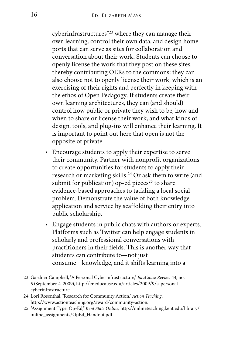[cyberinfrastructures"](http://er.educause.edu/articles/2009/9/a-personal-cyberinfrastructure) <sup>23</sup> where they can manage their own learning, control their own data, and design home ports that can serve as sites for collaboration and conversation about their work. Students can choose to openly license the work that they post on these sites, thereby contributing OERs to the commons; they can also choose not to openly license their work, which is an exercising of their rights and perfectly in keeping with the ethos of Open Pedagogy. If students create their own learning architectures, they can (and should) control how public or private they wish to be, how and when to share or license their work, and what kinds of design, tools, and plug-ins will enhance their learning. It is important to point out here that open is not the opposite of private.

- Encourage students to apply their expertise to serve their community. Partner with nonprofit organizations to create [opportunities for students to apply their](http://www.actionteaching.org/award/community-action)  [research or marketing skills.](http://www.actionteaching.org/award/community-action)<sup>[24](http://www.actionteaching.org/award/community-action)</sup> Or [ask them to write \(and](http://onlineteaching.kent.edu/library/online_assignments/OpEd_Handout.pdf) [submit for publication\) op-ed pieces](http://onlineteaching.kent.edu/library/online_assignments/OpEd_Handout.pdf)<sup>[25](http://onlineteaching.kent.edu/library/online_assignments/OpEd_Handout.pdf)</sup> to share evidence-based approaches to tackling a local social problem. Demonstrate the value of both knowledge application and service by scaffolding their entry into public scholarship.
- Engage students in public chats with authors or experts. Platforms such as Twitter can help engage students in scholarly and professional conversations with practitioners in their fields. This is another way that students can contribute to—not just consume—knowledge, and it shifts learning into a
- 23. Gardner Campbell, "A Personal Cyberinfrastructure," *EduCause Review* 44, no. 5 (September 4, 2009), http://er.educause.edu/articles/2009/9/a-personalcyberinfrastructure*.*
- [24.](http://www.actionteaching.org/award/community-action) Lori Rosenthal, "Research for Community Action," *Action Teaching*, [http://www.actionteaching.org/award/community-action.](http://www.actionteaching.org/award/community-action)
- [25.](http://onlineteaching.kent.edu/library/online_assignments/OpEd_Handout.pdf) "Assignment Type: Op-Ed," *Kent State Online,* http://onlineteaching.kent.edu/library/ [online\\_assignments/OpEd\\_Handout.pdf.](http://onlineteaching.kent.edu/library/online_assignments/OpEd_Handout.pdf)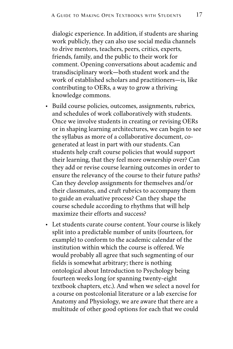dialogic experience. In addition, if students are sharing work publicly, they can also use social media channels to drive mentors, teachers, peers, critics, experts, friends, family, and the public to their work for comment. Opening conversations about academic and transdisciplinary work—both student work and the work of established scholars and practitioners—is, like contributing to OERs, a way to grow a thriving knowledge commons.

- Build course policies, outcomes, assignments, rubrics, and schedules of work collaboratively with students. Once we involve students in creating or revising OERs or in shaping learning architectures, we can begin to see the syllabus as more of a collaborative document, cogenerated at least in part with our students. Can students help craft course policies that would support their learning, that they feel more ownership over? Can they add or revise course learning outcomes in order to ensure the relevancy of the course to their future paths? Can they develop assignments for themselves and/or their classmates, and craft rubrics to accompany them to guide an evaluative process? Can they shape the course schedule according to rhythms that will help maximize their efforts and success?
- Let students curate course content. Your course is likely split into a predictable number of units (fourteen, for example) to conform to the academic calendar of the institution within which the course is offered. We would probably all agree that such segmenting of our fields is somewhat arbitrary; there is nothing ontological about Introduction to Psychology being fourteen weeks long (or spanning twenty-eight textbook chapters, etc.). And when we select a novel for a course on postcolonial literature or a lab exercise for Anatomy and Physiology, we are aware that there are a multitude of other good options for each that we could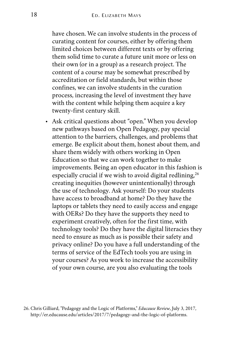have chosen. We can involve students in the process of curating content for courses, either by offering them limited choices between different texts or by offering them solid time to curate a future unit more or less on their own (or in a group) as a research project. The content of a course may be somewhat prescribed by accreditation or field standards, but within those confines, we can involve students in the curation process, increasing the level of investment they have with the content while helping them acquire a key twenty-first century skill.

• Ask critical questions about "open." When you develop new pathways based on Open Pedagogy, pay special attention to the barriers, challenges, and problems that emerge. Be explicit about them, honest about them, and share them widely with others working in Open Education so that we can work together to make improvements. Being an open educator in this fashion is especially crucial if we wish to avoid [digital redlining,](http://bit.ly/2uq5SJC) 26 creating inequities (however unintentionally) through the use of technology. Ask yourself: Do your students have access to broadband at home? Do they have the laptops or tablets they need to easily access and engage with OERs? Do they have the supports they need to experiment creatively, often for the first time, with technology tools? Do they have the digital literacies they need to ensure as much as is possible their safety and privacy online? Do you have a full understanding of the terms of service of the EdTech tools you are using in your courses? As you work to increase the accessibility of your own course, are you also [evaluating the tools](https://dgst101.com/activity-critically-evaluating-digital-tools-3f60d468ce74) 

<sup>26.</sup> Chris Gilliard, "Pedagogy and the Logic of Platforms," *Educause Review*, July 3, 2017, http://er.educause.edu/articles/2017/7/pedagogy-and-the-logic-of-platforms.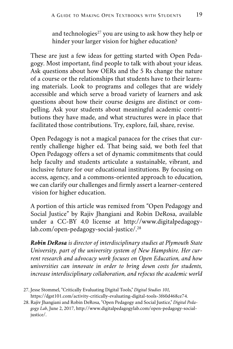[and technologies](https://dgst101.com/activity-critically-evaluating-digital-tools-3f60d468ce74)<sup>[27](https://dgst101.com/activity-critically-evaluating-digital-tools-3f60d468ce74)</sup> you are using to ask how they help or hinder your larger vision for higher education?

These are just a few ideas for getting started with Open Pedagogy. Most important, find people to talk with about your ideas. Ask questions about how OERs and the 5 Rs change the nature of a course or the relationships that students have to their learning materials. Look to programs and colleges that are widely accessible and which serve a broad variety of learners and ask questions about how their course designs are distinct or compelling. Ask your students about meaningful academic contributions they have made, and what structures were in place that facilitated those contributions. Try, explore, fail, share, revise.

Open Pedagogy is not a magical panacea for the crises that currently challenge higher ed. That being said, we both feel that Open Pedagogy offers a set of dynamic commitments that could help faculty and students articulate a sustainable, vibrant, and inclusive future for our educational institutions. By focusing on access, agency, and a commons-oriented approach to education, we can clarify our challenges and firmly assert a learner-centered vision for higher education.

A portion of this article was remixed from "Open Pedagogy and Social Justice" by Rajiv Jhangiani and Robin DeRosa, available under a CC-BY 4.0 license at [http://www.digitalpedagogy](http://www.digitalpedagogylab.com/open-pedagogy-social-justice/)[lab.com/open-pedagogy-social-justice/.](http://www.digitalpedagogylab.com/open-pedagogy-social-justice/)[28](http://www.digitalpedagogylab.com/open-pedagogy-social-justice/) 

*Robin DeRosa is director of interdisciplinary studies at Plymouth State University, part of the university system of New Hampshire. Her current research and advocacy work focuses on Open Education, and how universities can innovate in order to bring down costs for students, increase interdisciplinary collaboration, and refocus the academic world* 

[<sup>27.</sup>](https://dgst101.com/activity-critically-evaluating-digital-tools-3f60d468ce74) Jesse Stommel, "Critically Evaluating Digital Tools," *Digital Studies 101*, [https://dgst101.com/activity-critically-evaluating-digital-tools-3f60d468ce74.](https://dgst101.com/activity-critically-evaluating-digital-tools-3f60d468ce74) 

[<sup>28.</sup>](http://www.digitalpedagogylab.com/open-pedagogy-social-justice/) [Rajiv Jhangiani and Robin DeRosa, "Open Pedagogy and Social Justice,"](http://www.digitalpedagogylab.com/open-pedagogy-social-justice/) *Digital Pedagogy Lab*, June 2, 2017, http://www.digitalpedagogylab.com/open-pedagogy-socialjustice/.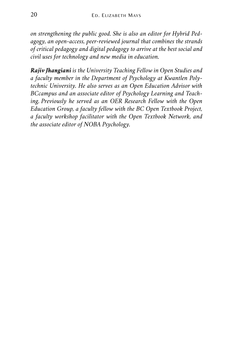*on strengthening the public good. She is also an editor for [Hybrid Ped](http://www.hybridpedagogy.com/)[agogy](http://www.hybridpedagogy.com/), an open-access, peer-reviewed journal that combines the strands of critical pedagogy and digital pedagogy to arrive at the best social and civil uses for technology and new media in education.*

*Rajiv Jhangiani is the University Teaching Fellow in Open Studies and a faculty member in the Department of Psychology at Kwantlen Polytechnic University. He also serves as an Open Education Advisor with BCcampus and an associate editor of Psychology Learning and Teaching. Previously he served as an OER Research Fellow with the Open Education Group, a faculty fellow with the BC Open Textbook Project, a faculty workshop facilitator with the Open Textbook Network, and the associate editor of NOBA Psychology.*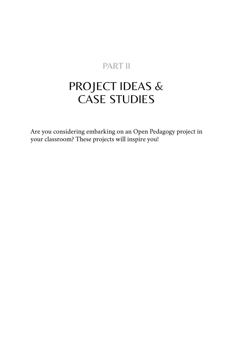## PART II

# <span id="page-28-0"></span>PROJECT IDEAS & CASE STUDIES

Are you considering embarking on an Open Pedagogy project in your classroom? These projects will inspire you!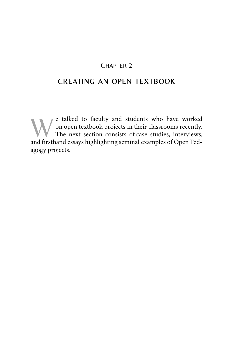#### CHAPTER 2

### <span id="page-30-0"></span>CREATING AN OPEN TEXTBOOK

e talked to faculty and students who have worked<br>on open textbook projects in their classrooms recently.<br>The next section consists of case studies, interviews,<br>and first hand assess highlighting seminal symples of Open Bad on open textbook projects in their classrooms recently. The next section consists of case studies, interviews, and firsthand essays highlighting seminal examples of Open Pedagogy projects.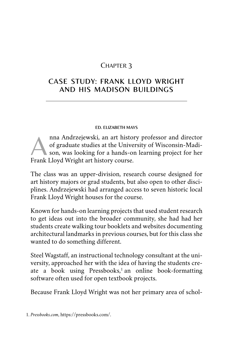### CHAPTER 3

### <span id="page-31-0"></span>CASE STUDY: FRANK LLOYD WRIGHT AND HIS MADISON BUILDINGS

#### ED. ELIZABETH MAYS

nna Andrzejewski, an art history professor and director of graduate studies at the University of Wisconsin-Madison, was looking for a hands-on learning project for her of graduate studies at the University of Wisconsin-Madi-Frank Lloyd Wright art history course.

The class was an upper-division, research course designed for art history majors or grad students, but also open to other disciplines. Andrzejewski had arranged access to seven historic local Frank Lloyd Wright houses for the course.

Known for hands-on learning projects that used student research to get ideas out into the broader community, she had had her students create walking tour booklets and websites documenting architectural landmarks in previous courses, but for this class she wanted to do something different.

Steel Wagstaff, an instructional technology consultant at the university, approached her with the idea of having the students cre-ate a book using [Pressbooks,](http://pressbooks.com/)<sup>[1](http://pressbooks.com/)</sup> an online book-formatting software often used for open textbook projects.

Because Frank Lloyd Wright was not her primary area of schol-

[1.](http://pressbooks.com/) *Pressbooks.com*[, https://pressbooks.com/.](http://pressbooks.com/)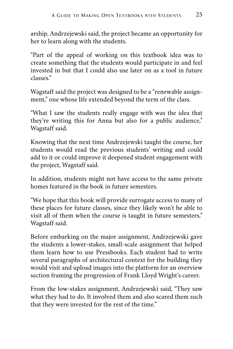arship, Andrzejewski said, the project became an opportunity for her to learn along with the students.

"Part of the appeal of working on this textbook idea was to create something that the students would participate in and feel invested in but that I could also use later on as a tool in future classes."

Wagstaff said the project was designed to be a "renewable assignment," one whose life extended beyond the term of the class.

"What I saw the students really engage with was the idea that they're writing this for Anna but also for a public audience," Wagstaff said.

Knowing that the next time Andrzejewski taught the course, her students would read the previous students' writing and could add to it or could improve it deepened student engagement with the project, Wagstaff said.

In addition, students might not have access to the same private homes featured in the book in future semesters.

"We hope that this book will provide surrogate access to many of these places for future classes, since they likely won't be able to visit all of them when the course is taught in future semesters," Wagstaff said.

Before embarking on the major assignment, Andrzejewski gave the students a lower-stakes, small-scale assignment that helped them learn how to use Pressbooks. Each student had to write several paragraphs of architectural context for the building they would visit and upload images into the platform for an overview section framing the progression of Frank Lloyd Wright's career.

From the low-stakes assignment, Andrzejewski said, "They saw what they had to do. It involved them and also scared them such that they were invested for the rest of the time."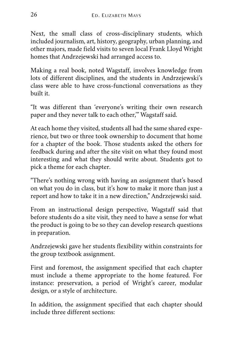Next, the small class of cross-disciplinary students, which included journalism, art, history, geography, urban planning, and other majors, made field visits to seven local Frank Lloyd Wright homes that Andrzejewski had arranged access to.

Making a real book, noted Wagstaff, involves knowledge from lots of different disciplines, and the students in Andrzejewski's class were able to have cross-functional conversations as they built it.

"It was different than 'everyone's writing their own research paper and they never talk to each other,'" Wagstaff said.

At each home they visited, students all had the same shared experience, but two or three took ownership to document that home for a chapter of the book. Those students asked the others for feedback during and after the site visit on what they found most interesting and what they should write about. Students got to pick a theme for each chapter.

"There's nothing wrong with having an assignment that's based on what you do in class, but it's how to make it more than just a report and how to take it in a new direction," Andrzejewski said.

From an instructional design perspective, Wagstaff said that before students do a site visit, they need to have a sense for what the product is going to be so they can develop research questions in preparation.

Andrzejewski gave her students flexibility within constraints for the group textbook assignment.

First and foremost, the assignment specified that each chapter must include a theme appropriate to the home featured. For instance: preservation, a period of Wright's career, modular design, or a style of architecture.

In addition, the assignment specified that each chapter should include three different sections: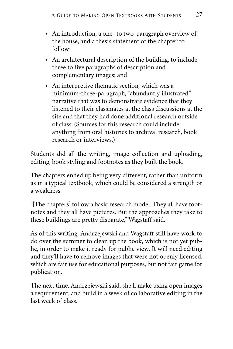- An introduction, a one- to two-paragraph overview of the house, and a thesis statement of the chapter to follow;
- An architectural description of the building, to include three to five paragraphs of description and complementary images; and
- An interpretive thematic section, which was a minimum-three-paragraph, "abundantly illustrated" narrative that was to demonstrate evidence that they listened to their classmates at the class discussions at the site and that they had done additional research outside of class. (Sources for this research could include anything from oral histories to archival research, book research or interviews.)

Students did all the writing, image collection and uploading, editing, book styling and footnotes as they built the book.

The chapters ended up being very different, rather than uniform as in a typical textbook, which could be considered a strength or a weakness.

"[The chapters] follow a basic research model. They all have footnotes and they all have pictures. But the approaches they take to these buildings are pretty disparate," Wagstaff said.

As of this writing, Andrzejewski and Wagstaff still have work to do over the summer to clean up the book, which is not yet public, in order to make it ready for public view. It will need editing and they'll have to remove images that were not openly licensed, which are fair use for educational purposes, but not fair game for publication.

The next time, Andrzejewski said, she'll make using open images a requirement, and build in a week of collaborative editing in the last week of class.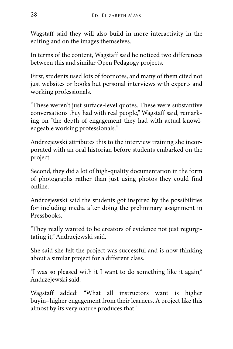Wagstaff said they will also build in more interactivity in the editing and on the images themselves.

In terms of the content, Wagstaff said he noticed two differences between this and similar Open Pedagogy projects.

First, students used lots of footnotes, and many of them cited not just websites or books but personal interviews with experts and working professionals.

"These weren't just surface-level quotes. These were substantive conversations they had with real people," Wagstaff said, remarking on "the depth of engagement they had with actual knowledgeable working professionals."

Andrzejewski attributes this to the interview training she incorporated with an oral historian before students embarked on the project.

Second, they did a lot of high-quality documentation in the form of photographs rather than just using photos they could find online.

Andrzejewski said the students got inspired by the possibilities for including media after doing the preliminary assignment in Pressbooks.

"They really wanted to be creators of evidence not just regurgitating it," Andrzejewski said.

She said she felt the project was successful and is now thinking about a similar project for a different class.

"I was so pleased with it I want to do something like it again," Andrzejewski said.

Wagstaff added: "What all instructors want is higher buyin–higher engagement from their learners. A project like this almost by its very nature produces that."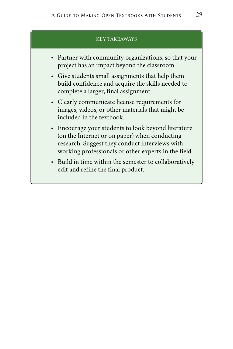## KEY TAKEAWAYS

- Partner with community organizations, so that your project has an impact beyond the classroom.
- Give students small assignments that help them build confidence and acquire the skills needed to complete a larger, final assignment.
- Clearly communicate license requirements for images, videos, or other materials that might be included in the textbook.
- Encourage your students to look beyond literature (on the Internet or on paper) when conducting research. Suggest they conduct interviews with working professionals or other experts in the field.
- Build in time within the semester to collaboratively edit and refine the final product.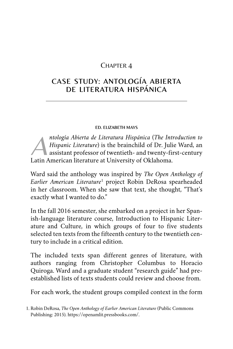# CASE STUDY: ANTOLOGÍA ABIERTA DE LITERATURA HISPÁNICA

### ED. ELIZABETH MAYS

 $\sum_{\text{as}}^{\text{m}}$ *ntología Abierta de Literatura Hispánica* (*The Introduction to Hispanic Literature*) is the brainchild of Dr. Julie Ward, an assistant professor of twentieth- and twenty-first-century Latin American literature at University of Oklahoma.

Ward said the anthology was inspired by *[The Open Anthology of](https://openamlit.pressbooks.com/) [Earlier American Literature](https://openamlit.pressbooks.com/)* [1](https://openamlit.pressbooks.com/) project Robin DeRosa spearheaded in her classroom. When she saw that text, she thought, "That's exactly what I wanted to do."

In the fall 2016 semester, she embarked on a project in her Spanish-language literature course, Introduction to Hispanic Literature and Culture, in which groups of four to five students selected ten texts from the fifteenth century to the twentieth century to include in a critical edition.

The included texts span different genres of literature, with authors ranging from Christopher Columbus to Horacio Quiroga. Ward and a graduate student "research guide" had preestablished lists of texts students could review and choose from.

For each work, the student groups compiled context in the form

[<sup>1.</sup>](https://openamlit.pressbooks.com/) Robin DeRosa, *The Open Anthology of Earlier American Literature* (Public Commons [Publishing: 2015\). https://openamlit.pressbooks.com/.](https://openamlit.pressbooks.com/)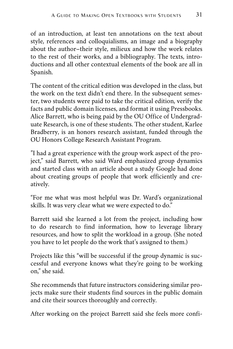of an introduction, at least ten annotations on the text about style, references and colloquialisms, an image and a biography about the author–their style, milieux and how the work relates to the rest of their works, and a bibliography. The texts, introductions and all other contextual elements of the book are all in Spanish.

The content of the critical edition was developed in the class, but the work on the text didn't end there. In the subsequent semester, two students were paid to take the critical edition, verify the facts and public domain licenses, and format it using Pressbooks. Alice Barrett, who is being paid by the OU Office of Undergraduate Research, is one of these students. The other student, Karlee Bradberry, is an honors research assistant, funded through the OU Honors College Research Assistant Program.

"I had a great experience with the group work aspect of the project," said Barrett, who said Ward emphasized group dynamics and started class with an article about a study Google had done about creating groups of people that work efficiently and creatively.

"For me what was most helpful was Dr. Ward's organizational skills. It was very clear what we were expected to do."

Barrett said she learned a lot from the project, including how to do research to find information, how to leverage library resources, and how to split the workload in a group. (She noted you have to let people do the work that's assigned to them.)

Projects like this "will be successful if the group dynamic is successful and everyone knows what they're going to be working on," she said.

She recommends that future instructors considering similar projects make sure their students find sources in the public domain and cite their sources thoroughly and correctly.

After working on the project Barrett said she feels more confi-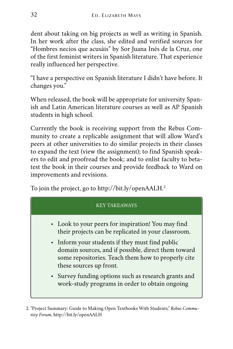dent about taking on big projects as well as writing in Spanish. In her work after the class, she edited and verified sources for "Hombres necios que acusáis" by Sor Juana Inés de la Cruz, one of the first feminist writers in Spanish literature. That experience really influenced her perspective.

"I have a perspective on Spanish literature I didn't have before. It changes you."

When released, the book will be appropriate for university Spanish and Latin American literature courses as well as AP Spanish students in high school.

Currently the book is receiving support from the Rebus Community to create a replicable assignment that will allow Ward's peers at other universities to do similar projects in their classes to expand the text [\(view the assignment\)](#page-90-0); to find Spanish speakers to edit and proofread the book; and to enlist faculty to betatest the book in their courses and provide feedback to Ward on improvements and revisions.

To join the project, go to [http://bit.ly/openAALH.](http://bit.ly/openAALH)[2](http://bit.ly/openAALH)

# KEY TAKEAWAYS

- Look to your peers for inspiration! You may find their projects can be replicated in your classroom.
- Inform your students if they must find public domain sources, and if possible, direct them toward some repositories. Teach them how to properly cite these sources up front.
- Survey funding options such as research grants and work-study programs in order to obtain ongoing

[<sup>2.</sup>](http://bit.ly/openAALH) ["Project Summary: Guide to Making Open Textbooks With Students,"](http://bit.ly/openAALH) *Rebus Community Forum,* http://bit.ly/openAALH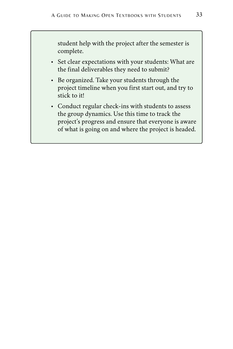student help with the project after the semester is complete.

- Set clear expectations with your students: What are the final deliverables they need to submit?
- Be organized. Take your students through the project timeline when you first start out, and try to stick to it!
- Conduct regular check-ins with students to assess the group dynamics. Use this time to track the project's progress and ensure that everyone is aware of what is going on and where the project is headed.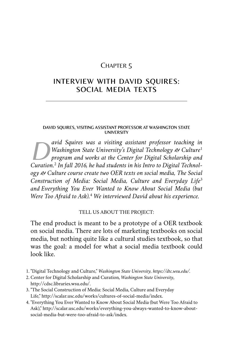# INTERVIEW WITH DAVID SQUIRES: SOCIAL MEDIA TEXTS

#### DAVID SQUIRES, VISITING ASSISTANT PROFESSOR AT WASHINGTON STATE UNIVERSITY

 $\sum_{\nu}^{a}$ *avid Squires was a visiting assistant professor teaching in Washington State University's [Digital Technology & Culture](https://dtc.wsu.edu/)* 1 *program and works at the [Center for Digital Scholarship and](http://cdsc.libraries.wsu.edu/) [Curation](http://cdsc.libraries.wsu.edu/).* 2 *In fall 2016, he had students in his Intro to Digital Technology & Culture course create two OER texts on social media, [The Social](http://scalar.usc.edu/works/cultures-of-social-media/index) [Construction of Media: Social Media, Culture and Everyday Life](http://scalar.usc.edu/works/cultures-of-social-media/index)* 3 *and [Everything You Ever Wanted to Know About Social Media \(but](http://scalar.usc.edu/works/everything-you-always-wanted-to-know-about-social-media-but-were-too-afraid-to-ask/index)*  [Were Too Afraid to Ask\)](http://scalar.usc.edu/works/everything-you-always-wanted-to-know-about-social-media-but-were-too-afraid-to-ask/index).<sup>4</sup> We interviewed David about his experience.

### TELL US ABOUT THE PROJECT:

The end product is meant to be a prototype of a OER textbook on social media. There are lots of marketing textbooks on social media, but nothing quite like a cultural studies textbook, so that was the goal: a model for what a social media textbook could look like.

- 1. "Digital Technology and Culture," *Washington State University, <https://dtc.wsu.edu/>.*
- 2. Center for Digital Scholarship and Curation, *Washington State University*, http://cdsc.libraries.wsu.edu/.
- 3. "The Social Construction of Media: Social Media, Culture and Everyday Life," <http://scalar.usc.edu/works/cultures-of-social-media/index>.
- 4. "Everything You Ever Wanted to Know About Social Media (but Were Too Afraid to Ask)," [http://scalar.usc.edu/works/everything-you-always-wanted-to-know-about](http://scalar.usc.edu/works/everything-you-always-wanted-to-know-about-social-media-but-were-too-afraid-to-ask/index)[social-media-but-were-too-afraid-to-ask/index](http://scalar.usc.edu/works/everything-you-always-wanted-to-know-about-social-media-but-were-too-afraid-to-ask/index)*.*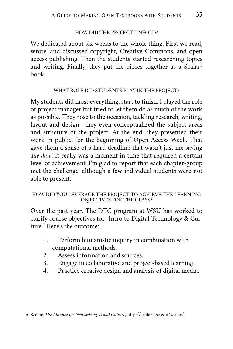## HOW DID THE PROJECT UNFOLD?

We dedicated about six weeks to the whole thing. First we read, wrote, and discussed copyright, Creative Commons, and open access publishing. Then the students started researching topics and writing. Finally, they put the pieces together as a [Scalar](http://scalar.usc.edu/)<sup>5</sup> book.

# WHAT ROLE DID STUDENTS PLAY IN THE PROJECT?

My students did most everything, start to finish. I played the role of project manager but tried to let them do as much of the work as possible. They rose to the occasion, tackling research, writing, layout and design—they even conceptualized the subject areas and structure of the project. At the end, they presented their work in public, for the beginning of Open Access Week. That gave them a sense of a hard deadline that wasn't just me saying *due date*! It really was a moment in time that required a certain level of achievement. I'm glad to report that each chapter-group met the challenge, although a few individual students were not able to present.

## HOW DID YOU LEVERAGE THE PROJECT TO ACHIEVE THE LEARNING OBJECTIVES FOR THE CLASS?

Over the past year, The DTC program at WSU has worked to clarify course objectives for "Intro to Digital Technology & Culture." Here's the outcome:

- 1. Perform humanistic inquiry in combination with computational methods.
- 2. Assess information and sources.
- 3. Engage in collaborative and project-based learning.
- 4. Practice creative design and analysis of digital media.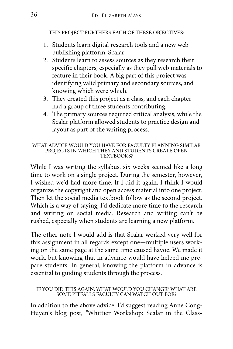THIS PROJECT FURTHERS EACH OF THESE OBJECTIVES:

- 1. Students learn digital research tools and a new web publishing platform, Scalar.
- 2. Students learn to assess sources as they research their specific chapters, especially as they pull web materials to feature in their book. A big part of this project was identifying valid primary and secondary sources, and knowing which were which.
- 3. They created this project as a class, and each chapter had a group of three students contributing.
- 4. The primary sources required critical analysis, while the Scalar platform allowed students to practice design and layout as part of the writing process.

#### WHAT ADVICE WOULD YOU HAVE FOR FACULTY PLANNING SIMILAR PROJECTS IN WHICH THEY AND STUDENTS CREATE OPEN TEXTBOOKS?

While I was writing the syllabus, six weeks seemed like a long time to work on a single project. During the semester, however, I wished we'd had more time. If I did it again, I think I would organize the copyright and open access material into one project. Then let the social media textbook follow as the second project. Which is a way of saying, I'd dedicate more time to the research and writing on social media. Research and writing can't be rushed, especially when students are learning a new platform.

The other note I would add is that Scalar worked very well for this assignment in all regards except one—multiple users working on the same page at the same time caused havoc. We made it work, but knowing that in advance would have helped me prepare students. In general, knowing the platform in advance is essential to guiding students through the process.

### IF YOU DID THIS AGAIN, WHAT WOULD YOU CHANGE? WHAT ARE SOME PITFALLS FACULTY CAN WATCH OUT FOR?

In addition to the above advice, I'd suggest reading Anne Cong-Huyen's blog post, "[Whittier Workshop: Scalar in the Class-](https://anitaconchita.wordpress.com/whittierworkshop/)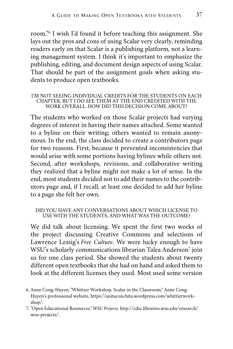[room.](https://anitaconchita.wordpress.com/whittierworkshop/)" 6 I wish I'd found it before teaching this assignment. She lays out the pros and cons of using Scalar very clearly, reminding readers early on that Scalar is a publishing platform, not a learning management system. I think it's important to emphasize the publishing, editing, and document design aspects of using Scalar. That should be part of the assignment goals when asking students to produce open textbooks.

#### I'M NOT SEEING INDIVIDUAL CREDITS FOR THE STUDENTS ON EACH CHAPTER, BUT I DO SEE THEM AT THE END CREDITED WITH THE WORK OVERALL. HOW DID THIS DECISION COME ABOUT?

The students who worked on those Scalar projects had varying degrees of interest in having their names attached. Some wanted to a byline on their writing; others wanted to remain anonymous. In the end, the class decided to create a contributors page for two reasons. First, because it prevented inconsistencies that would arise with some portions having bylines while others not. Second, after workshops, revisions, and collaborative writing they realized that a byline might not make a lot of sense. In the end, most students decided not to add their names to the contributors page and, if I recall, at least one decided to add her byline to a page she felt her own.

### DID YOU HAVE ANY CONVERSATIONS ABOUT WHICH LICENSE TO USE WITH THE STUDENTS, AND WHAT WAS THE OUTCOME?

We did talk about licensing. We spent the first two weeks of the project discussing Creative Commons and selections of Lawrence Lessig's *Free Culture*. We were lucky enough to have WSU's scholarly communications librarian [Talea Anderson](http://cdsc.libraries.wsu.edu/research/wsu-projects/) $^7$  join us for one class period. She showed the students about twenty different open textbooks that she had on hand and asked them to look at the different licenses they used. Most used some version

<sup>6.</sup> Anne Cong-Huyen, "Whittier Workshop, Scalar in the Classroom," Anne Cong-Huyen's professional website, [https://anitaconchita.wordpress.com/whittierwork](https://anitaconchita.wordpress.com/whittierworkshop/)[shop/.](https://anitaconchita.wordpress.com/whittierworkshop/)

<sup>7.</sup> "Open Educational Resources," *WSU Projects*, [http://cdsc.libraries.wsu.edu/research/](http://cdsc.libraries.wsu.edu/research/wsu-projects/) [wsu-projects/.](http://cdsc.libraries.wsu.edu/research/wsu-projects/)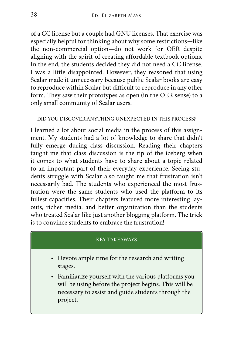of a CC license but a couple had GNU licenses. That exercise was especially helpful for thinking about why some restrictions—like the non-commercial option—do not work for OER despite aligning with the spirit of creating affordable textbook options. In the end, the students decided they did not need a CC license. I was a little disappointed. However, they reasoned that using Scalar made it unnecessary because public Scalar books are easy to reproduce within Scalar but difficult to reproduce in any other form. They saw their prototypes as open (in the OER sense) to a only small community of Scalar users.

## DID YOU DISCOVER ANYTHING UNEXPECTED IN THIS PROCESS?

I learned a lot about social media in the process of this assignment. My students had a lot of knowledge to share that didn't fully emerge during class discussion. Reading their chapters taught me that class discussion is the tip of the iceberg when it comes to what students have to share about a topic related to an important part of their everyday experience. Seeing students struggle with Scalar also taught me that frustration isn't necessarily bad. The students who experienced the most frustration were the same students who used the platform to its fullest capacities. Their chapters featured more interesting layouts, richer media, and better organization than the students who treated Scalar like just another blogging platform. The trick is to convince students to embrace the frustration!

### KEY TAKEAWAYS

- Devote ample time for the research and writing stages.
- Familiarize yourself with the various platforms you will be using before the project begins. This will be necessary to assist and guide students through the project.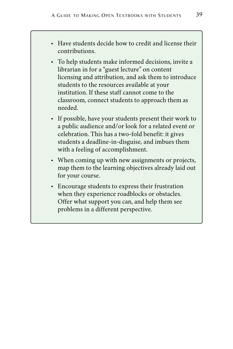- Have students decide how to credit and license their contributions.
- To help students make informed decisions, invite a librarian in for a "guest lecture" on content licensing and attribution, and ask them to introduce students to the resources available at your institution. If these staff cannot come to the classroom, connect students to approach them as needed.
- If possible, have your students present their work to a public audience and/or look for a related event or celebration. This has a two-fold benefit: it gives students a deadline-in-disguise, and imbues them with a feeling of accomplishment.
- When coming up with new assignments or projects, map them to the learning objectives already laid out for your course.
- Encourage students to express their frustration when they experience roadblocks or obstacles. Offer what support you can, and help them see problems in a different perspective.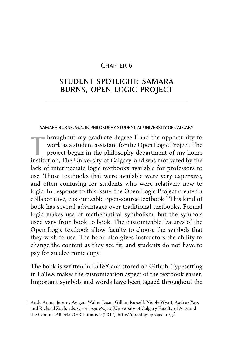# STUDENT SPOTLIGHT: SAMARA BURNS, OPEN LOGIC PROJECT

### SAMARA BURNS, M.A. IN PHILOSOPHY STUDENT AT UNIVERSITY OF CALGARY

International my graduate degree I had the opportunity to<br>work as a student assistant for the Open Logic Project. The<br>project began in the philosophy department of my home<br>institution. The University of Colory and we metiw work as a student assistant for the Open Logic Project. The project began in the philosophy department of my home institution, The University of Calgary, and was motivated by the lack of intermediate logic textbooks available for professors to use. Those textbooks that were available were very expensive, and often confusing for students who were relatively new to logic. In response to this issue, the Open Logic Project created a collaborative, customizable [open-source textbook.](http://openlogicproject.org/) <sup>1</sup> This kind of book has several advantages over traditional textbooks. Formal logic makes use of mathematical symbolism, but the symbols used vary from book to book. The customizable features of the Open Logic textbook allow faculty to choose the symbols that they wish to use. The book also gives instructors the ability to change the content as they see fit, and students do not have to pay for an electronic copy.

The book is written in LaTeX and stored on Github. Typesetting in LaTeX makes the customization aspect of the textbook easier. Important symbols and words have been tagged throughout the

<sup>1.</sup> Andy Arana, Jeremy Avigad, Walter Dean, Gillian Russell, Nicole Wyatt, Audrey Yap, and Richard Zach, eds. *Open Logic Project* (University of Calgary Faculty of Arts and the Campus Alberta OER Initiative: (2017), <http://openlogicproject.org/>.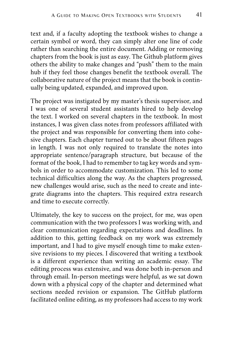text and, if a faculty adopting the textbook wishes to change a certain symbol or word, they can simply alter one line of code rather than searching the entire document. Adding or removing chapters from the book is just as easy. The Github platform gives others the ability to make changes and "push" them to the main hub if they feel those changes benefit the textbook overall. The collaborative nature of the project means that the book is continually being updated, expanded, and improved upon.

The project was instigated by my master's thesis supervisor, and I was one of several student assistants hired to help develop the text. I worked on several chapters in the textbook. In most instances, I was given class notes from professors affiliated with the project and was responsible for converting them into cohesive chapters. Each chapter turned out to be about fifteen pages in length. I was not only required to translate the notes into appropriate sentence/paragraph structure, but because of the format of the book, I had to remember to tag key words and symbols in order to accommodate customization. This led to some technical difficulties along the way. As the chapters progressed, new challenges would arise, such as the need to create and integrate diagrams into the chapters. This required extra research and time to execute correctly.

Ultimately, the key to success on the project, for me, was open communication with the two professors I was working with, and clear communication regarding expectations and deadlines. In addition to this, getting feedback on my work was extremely important, and I had to give myself enough time to make extensive revisions to my pieces. I discovered that writing a textbook is a different experience than writing an academic essay. The editing process was extensive, and was done both in-person and through email. In-person meetings were helpful, as we sat down down with a physical copy of the chapter and determined what sections needed revision or expansion. The GitHub platform facilitated online editing, as my professors had access to my work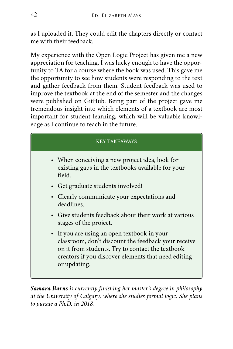as I uploaded it. They could edit the chapters directly or contact me with their feedback.

My experience with the Open Logic Project has given me a new appreciation for teaching. I was lucky enough to have the opportunity to TA for a course where the book was used. This gave me the opportunity to see how students were responding to the text and gather feedback from them. Student feedback was used to improve the textbook at the end of the semester and the changes were published on GitHub. Being part of the project gave me tremendous insight into which elements of a textbook are most important for student learning, which will be valuable knowledge as I continue to teach in the future.

# KEY TAKEAWAYS

- When conceiving a new project idea, look for existing gaps in the textbooks available for your field.
- Get graduate students involved!
- Clearly communicate your expectations and deadlines.
- Give students feedback about their work at various stages of the project.
- If you are using an open textbook in your classroom, don't discount the feedback your receive on it from students. Try to contact the textbook creators if you discover elements that need editing or updating.

*Samara Burns is currently finishing her master's degree in philosophy at the University of Calgary, where she studies formal logic. She plans to pursue a Ph.D. in 2018.*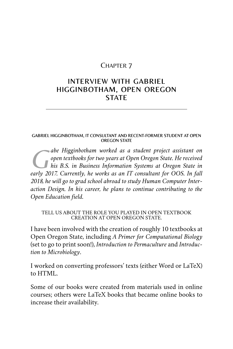# INTERVIEW WITH GABRIEL HIGGINBOTHAM, OPEN OREGON **STATE**

#### GABRIEL HIGGINBOTHAM, IT CONSULTANT AND RECENT-FORMER STUDENT AT OPEN OREGON STATE

 $\bigcup_{hi}$ *abe Higginbotham worked as a student project assistant on open textbooks for two years at Open Oregon State. He received his B.S. in Business Information Systems at Oregon State in early 2017. Currently, he works as an IT consultant for OOS. In fall 2018, he will go to grad school abroad to study Human Computer Interaction Design. In his career, he plans to continue contributing to the Open Education field.* 

TELL US ABOUT THE ROLE YOU PLAYED IN OPEN TEXTBOOK CREATION AT OPEN OREGON STATE.

I have been involved with the creation of roughly 10 textbooks at Open Oregon State, including *[A Primer for Computational Biology](http://library.open.oregonstate.edu/computationalbiology/)*  (set to go to print soon!), *[Introduction to Permaculture](http://library.open.oregonstate.edu/permaculture/)* and *[Introduc](http://library.open.oregonstate.edu/microbiology/)[tion to Microbiology](http://library.open.oregonstate.edu/microbiology/)*.

I worked on converting professors' texts (either Word or LaTeX) to HTML.

Some of our books were created from materials used in online courses; others were LaTeX books that became online books to increase their availability.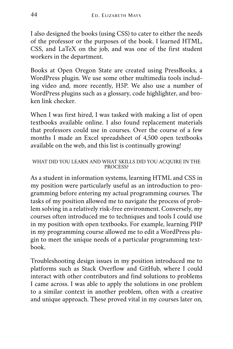I also designed the books (using CSS) to cater to either the needs of the professor or the purposes of the book. I learned HTML, CSS, and LaTeX on the job, and was one of the first student workers in the department.

Books at Open Oregon State are created using PressBooks, a WordPress plugin. We use some other multimedia tools including video and, more recently, H5P. We also use a number of WordPress plugins such as a glossary, code highlighter, and broken link checker.

When I was first hired, I was tasked with making a list of open textbooks available online. I also found replacement materials that professors could use in courses. Over the course of a few months I made an Excel spreadsheet of 4,500 open textbooks available on the web, and this list is continually growing!

## WHAT DID YOU LEARN AND WHAT SKILLS DID YOU ACQUIRE IN THE PROCESS?

As a student in information systems, learning HTML and CSS in my position were particularly useful as an introduction to programming before entering my actual programming courses. The tasks of my position allowed me to navigate the process of problem solving in a relatively risk-free environment. Conversely, my courses often introduced me to techniques and tools I could use in my position with open textbooks. For example, learning PHP in my programming course allowed me to edit a WordPress plugin to meet the unique needs of a particular programming textbook.

Troubleshooting design issues in my position introduced me to platforms such as Stack Overflow and GitHub, where I could interact with other contributors and find solutions to problems I came across. I was able to apply the solutions in one problem to a similar context in another problem, often with a creative and unique approach. These proved vital in my courses later on,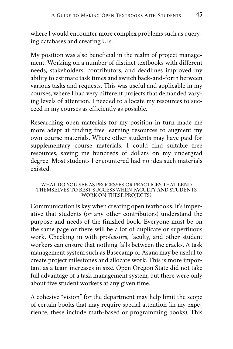where I would encounter more complex problems such as querying databases and creating UIs.

My position was also beneficial in the realm of project management. Working on a number of distinct textbooks with different needs, stakeholders, contributors, and deadlines improved my ability to estimate task times and switch back-and-forth between various tasks and requests. This was useful and applicable in my courses, where I had very different projects that demanded varying levels of attention. I needed to allocate my resources to succeed in my courses as efficiently as possible.

Researching open materials for my position in turn made me more adept at finding free learning resources to augment my own course materials. Where other students may have paid for supplementary course materials, I could find suitable free resources, saving me hundreds of dollars on my undergrad degree. Most students I encountered had no idea such materials existed.

#### WHAT DO YOU SEE AS PROCESSES OR PRACTICES THAT LEND THEMSELVES TO BEST SUCCESS WHEN FACULTY AND STUDENTS WORK ON THESE PROJECTS?

Communication is key when creating open textbooks. It's imperative that students (or any other contributors) understand the purpose and needs of the finished book. Everyone must be on the same page or there will be a lot of duplicate or superfluous work. Checking in with professors, faculty, and other student workers can ensure that nothing falls between the cracks. A task management system such as Basecamp or Asana may be useful to create project milestones and allocate work. This is more important as a team increases in size. Open Oregon State did not take full advantage of a task management system, but there were only about five student workers at any given time.

A cohesive "vision" for the department may help limit the scope of certain books that may require special attention (in my experience, these include math-based or programming books). This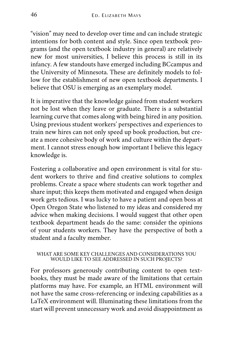"vision" may need to develop over time and can include strategic intentions for both content and style. Since open textbook programs (and the open textbook industry in general) are relatively new for most universities, I believe this process is still in its infancy. A few standouts have emerged including BCcampus and the University of Minnesota. These are definitely models to follow for the establishment of new open textbook departments. I believe that OSU is emerging as an exemplary model.

It is imperative that the knowledge gained from student workers not be lost when they leave or graduate. There is a substantial learning curve that comes along with being hired in any position. Using previous student workers' perspectives and experiences to train new hires can not only speed up book production, but create a more cohesive body of work and culture within the department. I cannot stress enough how important I believe this legacy knowledge is.

Fostering a collaborative and open environment is vital for student workers to thrive and find creative solutions to complex problems. Create a space where students can work together and share input; this keeps them motivated and engaged when design work gets tedious. I was lucky to have a patient and open boss at Open Oregon State who listened to my ideas and considered my advice when making decisions. I would suggest that other open textbook department heads do the same: consider the opinions of your students workers. They have the perspective of both a student and a faculty member.

## WHAT ARE SOME KEY CHALLENGES AND CONSIDERATIONS YOU WOULD LIKE TO SEE ADDRESSED IN SUCH PROJECTS?

For professors generously contributing content to open textbooks, they must be made aware of the limitations that certain platforms may have. For example, an HTML environment will not have the same cross-referencing or indexing capabilities as a LaTeX environment will. Illuminating these limitations from the start will prevent unnecessary work and avoid disappointment as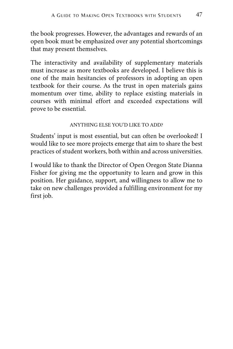the book progresses. However, the advantages and rewards of an open book must be emphasized over any potential shortcomings that may present themselves.

The interactivity and availability of supplementary materials must increase as more textbooks are developed. I believe this is one of the main hesitancies of professors in adopting an open textbook for their course. As the trust in open materials gains momentum over time, ability to replace existing materials in courses with minimal effort and exceeded expectations will prove to be essential.

# ANYTHING ELSE YOU'D LIKE TO ADD?

Students' input is most essential, but can often be overlooked! I would like to see more projects emerge that aim to share the best practices of student workers, both within and across universities.

I would like to thank the Director of Open Oregon State Dianna Fisher for giving me the opportunity to learn and grow in this position. Her guidance, support, and willingness to allow me to take on new challenges provided a fulfilling environment for my first job.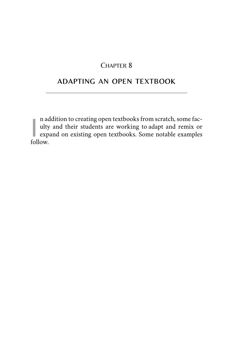# ADAPTING AN OPEN TEXTBOOK

I n addition to creating open textbooks from scratch, some fac-<br>ulty and their students are working to adapt and remix or<br>expand on existing open textbooks. Some notable examples ulty and their students are working to adapt and remix or expand on existing open textbooks. Some notable examples follow.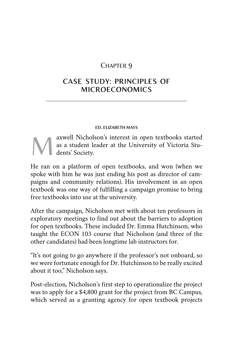# CASE STUDY: PRINCIPLES OF MICROECONOMICS

### ED. ELIZABETH MAYS

A axwell Nicholson's interest in open textbooks started as a student leader at the University of Victoria Students' Society. as a student leader at the University of Victoria Students' Society.

He ran on a platform of open textbooks, and won (when we spoke with him he was just ending his post as director of campaigns and community relations). His involvement in an open textbook was one way of fulfilling a campaign promise to bring free textbooks into use at the university.

After the campaign, Nicholson met with about ten professors in exploratory meetings to find out about the barriers to adoption for open textbooks. These included Dr. Emma Hutchinson, who taught the ECON 103 course that Nicholson (and three of the other candidates) had been longtime lab instructors for.

"It's not going to go anywhere if the professor's not onboard, so we were fortunate enough for Dr. Hutchinson to be really excited about it too," Nicholson says.

Post-election, Nicholson's first step to operationalize the project was to apply for a \$4,800 grant for the project from BC Campus, which served as a granting agency for open textbook projects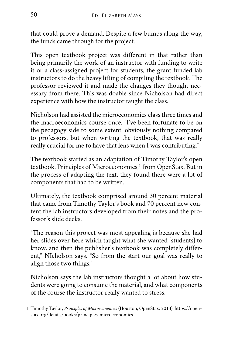that could prove a demand. Despite a few bumps along the way, the funds came through for the project.

This open textbook project was different in that rather than being primarily the work of an instructor with funding to write it or a class-assigned project for students, the grant funded lab instructors to do the heavy lifting of compiling the textbook. The professor reviewed it and made the changes they thought necessary from there. This was doable since Nicholson had direct experience with how the instructor taught the class.

Nicholson had assisted the microeconomics class three times and the macroeconomics course once. "I've been fortunate to be on the pedagogy side to some extent, obviously nothing compared to professors, but when writing the textbook, that was really really crucial for me to have that lens when I was contributing."

The textbook started as an adaptation of Timothy Taylor's open textbook, [Principles of Microeconomics,](https://open.bccampus.ca/find-open-textbooks/?uuid=ca7d2b03-11f0-49ed-8efb-e7a5ac4f9cae&contributor=&keyword=&subject=Economics)<sup>[1](https://open.bccampus.ca/find-open-textbooks/?uuid=ca7d2b03-11f0-49ed-8efb-e7a5ac4f9cae&contributor=&keyword=&subject=Economics)</sup> from OpenStax. But in the process of adapting the text, they found there were a lot of components that had to be written.

Ultimately, the textbook comprised around 30 percent material that came from Timothy Taylor's book and 70 percent new content the lab instructors developed from their notes and the professor's slide decks.

"The reason this project was most appealing is because she had her slides over here which taught what she wanted [students] to know, and then the publisher's textbook was completely different," NIcholson says. "So from the start our goal was really to align those two things."

Nicholson says the lab instructors thought a lot about how students were going to consume the material, and what components of the course the instructor really wanted to stress.

[<sup>1.</sup>](https://open.bccampus.ca/find-open-textbooks/?uuid=ca7d2b03-11f0-49ed-8efb-e7a5ac4f9cae&contributor=&keyword=&subject=Economics) Timothy Taylor, *Principles of Microeconomics* (Houston, OpenStax: 2014), https://open[stax.org/details/books/principles-microeconomics.](https://open.bccampus.ca/find-open-textbooks/?uuid=ca7d2b03-11f0-49ed-8efb-e7a5ac4f9cae&contributor=&keyword=&subject=Economics)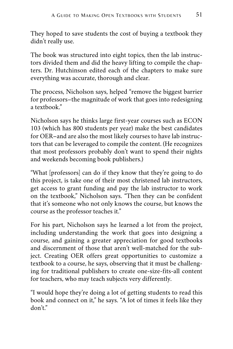They hoped to save students the cost of buying a textbook they didn't really use.

The book was structured into eight topics, then the lab instructors divided them and did the heavy lifting to compile the chapters. Dr. Hutchinson edited each of the chapters to make sure everything was accurate, thorough and clear.

The process, Nicholson says, helped "remove the biggest barrier for professors–the magnitude of work that goes into redesigning a textbook."

Nicholson says he thinks large first-year courses such as ECON 103 (which has 800 students per year) make the best candidates for OER–and are also the most likely courses to have lab instructors that can be leveraged to compile the content. (He recognizes that most professors probably don't want to spend their nights and weekends becoming book publishers.)

"What [professors] can do if they know that they're going to do this project, is take one of their most christened lab instructors, get access to grant funding and pay the lab instructor to work on the textbook," Nicholson says. "Then they can be confident that it's someone who not only knows the course, but knows the course as the professor teaches it."

For his part, Nicholson says he learned a lot from the project, including understanding the work that goes into designing a course, and gaining a greater appreciation for good textbooks and discernment of those that aren't well-matched for the subject. Creating OER offers great opportunities to customize a textbook to a course, he says, observing that it must be challenging for traditional publishers to create one-size-fits-all content for teachers, who may teach subjects very differently.

"I would hope they're doing a lot of getting students to read this book and connect on it," he says. "A lot of times it feels like they don't."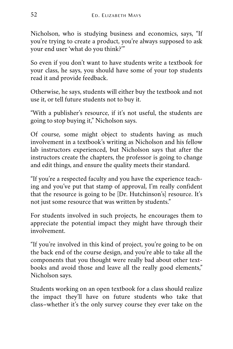Nicholson, who is studying business and economics, says, "If you're trying to create a product, you're always supposed to ask your end user 'what do you think?'"

So even if you don't want to have students write a textbook for your class, he says, you should have some of your top students read it and provide feedback.

Otherwise, he says, students will either buy the textbook and not use it, or tell future students not to buy it.

"With a publisher's resource, if it's not useful, the students are going to stop buying it," Nicholson says.

Of course, some might object to students having as much involvement in a textbook's writing as Nicholson and his fellow lab instructors experienced, but Nicholson says that after the instructors create the chapters, the professor is going to change and edit things, and ensure the quality meets their standard.

"If you're a respected faculty and you have the experience teaching and you've put that stamp of approval, I'm really confident that the resource is going to be [Dr. Hutchinson's] resource. It's not just some resource that was written by students."

For students involved in such projects, he encourages them to appreciate the potential impact they might have through their involvement.

"If you're involved in this kind of project, you're going to be on the back end of the course design, and you're able to take all the components that you thought were really bad about other textbooks and avoid those and leave all the really good elements," Nicholson says.

Students working on an open textbook for a class should realize the impact they'll have on future students who take that class–whether it's the only survey course they ever take on the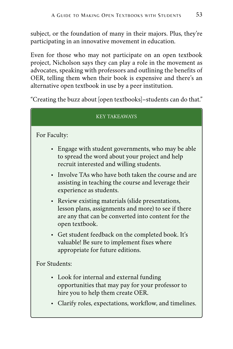subject, or the foundation of many in their majors. Plus, they're participating in an innovative movement in education.

Even for those who may not participate on an open textbook project, Nicholson says they can play a role in the movement as advocates, speaking with professors and outlining the benefits of OER, telling them when their book is expensive and there's an alternative open textbook in use by a peer institution.

"Creating the buzz about [open textbooks]–students can do that."

# KEY TAKEAWAYS

For Faculty:

- Engage with student governments, who may be able to spread the word about your project and help recruit interested and willing students.
- Involve TAs who have both taken the course and are assisting in teaching the course and leverage their experience as students.
- Review existing materials (slide presentations, lesson plans, assignments and more) to see if there are any that can be converted into content for the open textbook.
- Get student feedback on the completed book. It's valuable! Be sure to implement fixes where appropriate for future editions.

For Students:

- Look for internal and external funding opportunities that may pay for your professor to hire you to help them create OER.
- Clarify roles, expectations, workflow, and timelines.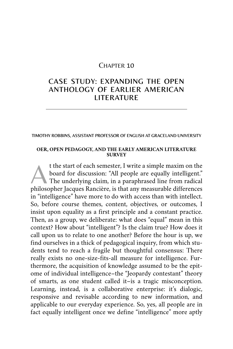# CASE STUDY: EXPANDING THE OPEN ANTHOLOGY OF EARLIER AMERICAN **LITERATURE**

#### TIMOTHY ROBBINS, ASSISTANT PROFESSOR OF ENGLISH AT GRACELAND UNIVERSITY

#### **OER, OPEN PEDAGOGY, AND THE EARLY AMERICAN LITERATURE SURVEY**

t the start of each semester, I write a simple maxim on the board for discussion: "All people are equally intelligent."<br>The underlying claim, in a paraphrased line from radical<br>mbilosopher locause Bonsière is that any meas board for discussion: "All people are equally intelligent." philosopher Jacques Rancière, is that any measurable differences in "intelligence" have more to do with access than with intellect. So, before course themes, content, objectives, or outcomes, I insist upon equality as a first principle and a constant practice. Then, as a group, we deliberate: what does "equal" mean in this context? How about "intelligent"? Is the claim true? How does it call upon us to relate to one another? Before the hour is up, we find ourselves in a thick of pedagogical inquiry, from which students tend to reach a fragile but thoughtful consensus: There really exists no one-size-fits-all measure for intelligence. Furthermore, the acquisition of knowledge assumed to be the epitome of individual intelligence–the "Jeopardy contestant" theory of smarts, as one student called it–is a tragic misconception. Learning, instead, is a collaborative enterprise: it's dialogic, responsive and revisable according to new information, and applicable to our everyday experience. So, yes, all people are in fact equally intelligent once we define "intelligence" more aptly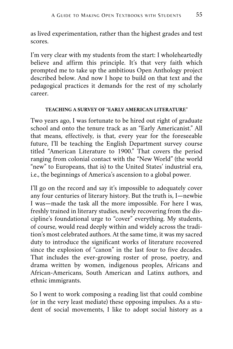as lived experimentation, rather than the highest grades and test scores.

I'm very clear with my students from the start: I wholeheartedly believe and affirm this principle. It's that very faith which prompted me to take up the ambitious Open Anthology project described below. And now I hope to build on that text and the pedagogical practices it demands for the rest of my scholarly career.

## **TEACHING A SURVEY OF "EARLY AMERICAN LITERATURE"**

Two years ago, I was fortunate to be hired out right of graduate school and onto the tenure track as an "Early Americanist." All that means, effectively, is that, every year for the foreseeable future, I'll be teaching the English Department survey course titled "American Literature to 1900." That covers the period ranging from colonial contact with the "New World" (the world "new" to Europeans, that is) to the United States' industrial era, i.e., the beginnings of America's ascension to a global power.

I'll go on the record and say it's impossible to adequately cover any four centuries of literary history. But the truth is, I—newbie I was—made the task all the more impossible. For here I was, freshly trained in literary studies, newly recovering from the discipline's foundational urge to "cover" everything. My students, of course, would read deeply within and widely across the tradition's most celebrated authors. At the same time, it was my sacred duty to introduce the significant works of literature recovered since the explosion of "canon" in the last four to five decades. That includes the ever-growing roster of prose, poetry, and drama written by women, indigenous peoples, Africans and African-Americans, South American and Latinx authors, and ethnic immigrants.

So I went to work composing a reading list that could combine (or in the very least mediate) these opposing impulses. As a student of social movements, I like to adopt social history as a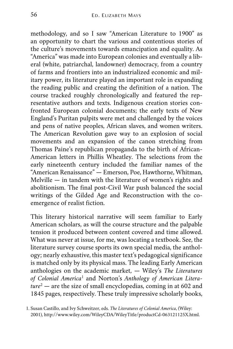methodology, and so I saw "American Literature to 1900" as an opportunity to chart the various and contentious stories of the culture's movements towards emancipation and equality. As "America" was made into European colonies and eventually a liberal (white, patriarchal, landowner) democracy, from a country of farms and frontiers into an industrialized economic and military power, its literature played an important role in expanding the reading public and creating the definition of a nation. The course tracked roughly chronologically and featured the representative authors and texts. Indigenous creation stories confronted European colonial documents; the early texts of New England's Puritan pulpits were met and challenged by the voices and pens of native peoples, African slaves, and women writers. The American Revolution gave way to an explosion of social movements and an expansion of the canon stretching from Thomas Paine's republican propaganda to the birth of African-American letters in Phillis Wheatley. The selections from the early nineteenth century included the familiar names of the "American Renaissance" — Emerson, Poe, Hawthorne, Whitman, Melville — in tandem with the literature of women's rights and abolitionism. The final post-Civil War push balanced the social writings of the Gilded Age and Reconstruction with the coemergence of realist fiction.

This literary historical narrative will seem familiar to Early American scholars, as will the course structure and the palpable tension it produced between content covered and time allowed. What was never at issue, for me, was locating a textbook. See, the literature survey course sports its own special media, the anthology; nearly exhaustive, this master text's pedagogical significance is matched only by its physical mass. The leading Early American anthologies on the academic market, — Wiley's *[The Literatures](http://www.wiley.com/WileyCDA/WileyTitle/productCd-063121125X.html) [of Colonial America](http://www.wiley.com/WileyCDA/WileyTitle/productCd-063121125X.html)*[1](http://www.wiley.com/WileyCDA/WileyTitle/productCd-063121125X.html) and Norton's *[Anthology of American Litera](http://www.wwnorton.com/college/english/naal8/section/volA/overview.aspx)[ture](http://www.wwnorton.com/college/english/naal8/section/volA/overview.aspx)* [2](http://www.wwnorton.com/college/english/naal8/section/volA/overview.aspx) — are the size of small encyclopedias, coming in at 602 and 1845 pages, respectively. These truly impressive scholarly books,

[<sup>1.</sup>](http://www.wiley.com/WileyCDA/WileyTitle/productCd-063121125X.html) Susan Castillo, and Ivy Schweitzer, eds. *The Literatures of Colonial America*, (Wiley: 2001), [http://www.wiley.com/WileyCDA/WileyTitle/productCd-063121125X.html.](http://www.wiley.com/WileyCDA/WileyTitle/productCd-063121125X.html)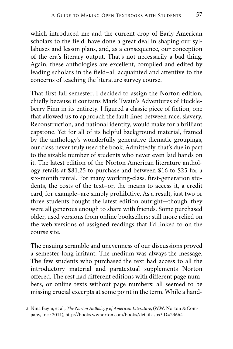which introduced me and the current crop of Early American scholars to the field, have done a great deal in shaping our syllabuses and lesson plans, and, as a consequence, our conception of the era's literary output. That's not necessarily a bad thing. Again, these anthologies are excellent, compiled and edited by leading scholars in the field–all acquainted and attentive to the concerns of teaching the literature survey course.

That first fall semester, I decided to assign the Norton edition, chiefly because it contains Mark Twain's Adventures of Huckleberry Finn in its entirety. I figured a classic piece of fiction, one that allowed us to approach the fault lines between race, slavery, Reconstruction, and national identity, would make for a brilliant capstone. Yet for all of its helpful background material, framed by the anthology's wonderfully generative thematic groupings, our class never truly used the book. Admittedly, that's due in part to the sizable number of students who never even laid hands on it. The latest edition of the Norton American literature anthology retails at \$81.25 to purchase and between \$16 to \$25 for a six-month rental. For many working-class, first-generation students, the costs of the text–or, the means to access it, a credit card, for example–are simply prohibitive. As a result, just two or three students bought the latest edition outright—though, they were all generous enough to share with friends. Some purchased older, used versions from online booksellers; still more relied on the web versions of assigned readings that I'd linked to on the course site.

The ensuing scramble and unevenness of our discussions proved a semester-long irritant. The medium was always the message. The few students who purchased the text had access to all the introductory material and paratextual supplements Norton offered. The rest had different editions with different page numbers, or online texts without page numbers; all seemed to be missing crucial excerpts at some point in the term. While a hand-

[<sup>2.</sup>](http://www.wwnorton.com/college/english/naal8/section/volA/overview.aspx) Nina Baym, et al., *The Norton Anthology of American Literature*, (W.W. Norton & Company, Inc.: 2011), [http://books.wwnorton.com/books/detail.aspx?ID=23664.](http://www.wwnorton.com/college/english/naal8/section/volA/overview.aspx)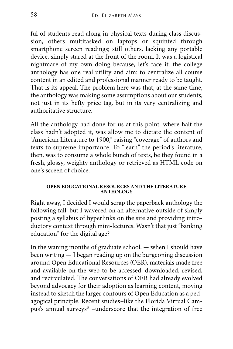ful of students read along in physical texts during class discussion, others multitasked on laptops or squinted through smartphone screen readings; still others, lacking any portable device, simply stared at the front of the room. It was a logistical nightmare of my own doing because, let's face it, the college anthology has one real utility and aim: to centralize all course content in an edited and professional manner ready to be taught. That is its appeal. The problem here was that, at the same time, the anthology was making some assumptions about our students, not just in its hefty price tag, but in its very centralizing and authoritative structure.

All the anthology had done for us at this point, where half the class hadn't adopted it, was allow me to dictate the content of "American Literature to 1900," raising "coverage" of authors and texts to supreme importance. To "learn" the period's literature, then, was to consume a whole bunch of texts, be they found in a fresh, glossy, weighty anthology or retrieved as HTML code on one's screen of choice.

## **OPEN EDUCATIONAL RESOURCES AND THE LITERATURE ANTHOLOGY**

Right away, I decided I would scrap the paperback anthology the following fall, but I wavered on an alternative outside of simply posting a syllabus of hyperlinks on the site and providing introductory context through mini-lectures. Wasn't that just "banking education" for the digital age?

In the waning months of graduate school, — when I should have been writing — I began reading up on the burgeoning discussion around Open Educational Resources (OER), materials made free and available on the web to be accessed, downloaded, revised, and recirculated. The conversations of OER had already evolved beyond advocacy for their adoption as learning content, moving instead to sketch the larger contours of Open Education as a pedagogical principle. Recent studies–like the Florida Virtual Campus's annual [surveys](http://www.openaccesstextbooks.org/pdf/2016_Florida_Student_Textbook_Survey.pdf) [3](http://www.openaccesstextbooks.org/pdf/2016_Florida_Student_Textbook_Survey.pdf) –underscore that the integration of free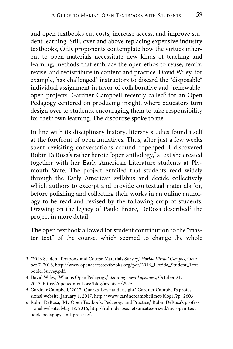and open textbooks cut costs, increase access, and improve student learning. Still, over and above replacing expensive industry textbooks, OER proponents contemplate how the virtues inherent to open materials necessitate new kinds of teaching and learning, methods that embrace the open ethos to reuse, remix, revise, and redistribute in content and practice. David Wiley, for example, [has challenged](https://opencontent.org/blog/archives/2975)<sup>[4](https://opencontent.org/blog/archives/2975)</sup> instructors to discard the "disposable" individual assignment in favor of collaborative and "renewable" open projects. Gardner Campbell [recently called](http://www.gardnercampbell.net/blog1/?p=2603)<sup>[5](http://www.gardnercampbell.net/blog1/?p=2603)</sup> for an Open Pedagogy centered on producing insight, where educators turn design over to students, encouraging them to take responsibility for their own learning. The discourse spoke to me.

In line with its disciplinary history, literary studies found itself at the forefront of open initiatives. Thus, after just a few weeks spent revisiting conversations around [#openped,](https://twitter.com/search?q=%23OpenPed&src=tyah) I discovered Robin DeRosa's rather heroic "open anthology," a text she created together with her Early American Literature students at Plymouth State. The project entailed that students read widely through the Early American syllabus and decide collectively which authors to excerpt and provide contextual materials for, before polishing and collecting their works in an online anthology to be read and revised by the following crop of students. Drawing on the legacy of Paulo Freire, [DeRosa described](http://robinderosa.net/uncategorized/my-open-textbook-pedagogy-and-practice/)<sup>[6](http://robinderosa.net/uncategorized/my-open-textbook-pedagogy-and-practice/)</sup> the project in more detail:

The open textbook allowed for student contribution to the "master text" of the course, which seemed to change the whole

- [3.](http://www.openaccesstextbooks.org/pdf/2016_Florida_Student_Textbook_Survey.pdf) "2016 Student Textbook and Course Materials Survey," *Florida Virtual Campus*, Octo[ber 7, 2016, http://www.openaccesstextbooks.org/pdf/2016\\_Florida\\_Student\\_Text](http://www.openaccesstextbooks.org/pdf/2016_Florida_Student_Textbook_Survey.pdf)book\_Survey.pdf.
- [4.](https://opencontent.org/blog/archives/2975) David Wiley, "What is Open Pedagogy," *iterating toward openness*, October 21, 2013, [https://opencontent.org/blog/archives/2975.](https://opencontent.org/blog/archives/2975)
- [5.](http://www.gardnercampbell.net/blog1/?p=2603) [Gardner Campbell, "2017: Quarks, Love and Insight," Gardner Campbell's profes](http://www.gardnercampbell.net/blog1/?p=2603)sional website, January 1, 2017, http://www.gardnercampbell.net/blog1/?p=2603
- [6.](http://robinderosa.net/uncategorized/my-open-textbook-pedagogy-and-practice/) [Robin DeRosa, "My Open Textbook: Pedagogy and Practice," Robin DeRosa's profes](http://robinderosa.net/uncategorized/my-open-textbook-pedagogy-and-practice/)sional website, May 18, 2016, http://robinderosa.net/uncategorized/my-open-textbook-pedagogy-and-practice/.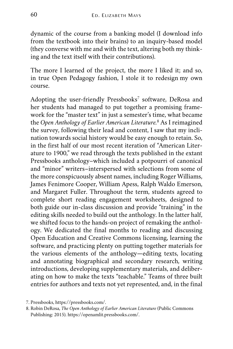dynamic of the course from a banking model (I download info from the textbook into their brains) to an inquiry-based model (they converse with me and with the text, altering both my thinking and the text itself with their contributions).

The more I learned of the project, the more I liked it; and so, in true Open Pedagogy fashion, I stole it to redesign my own course.

Adopting the user-friendly [Pressbooks](https://pressbooks.com/)<sup>[7](https://pressbooks.com/)</sup> software, DeRosa and her students had managed to put together a promising framework for the "master text" in just a semester's time, what became the *[Open Anthology of Earlier American Literature.](https://openamlit.pressbooks.com/front-matter/introduction/)*[8](https://openamlit.pressbooks.com/front-matter/introduction/) As I reimagined the survey, following their lead and content, I saw that my inclination towards social history would be easy enough to retain. So, in the first half of our most recent iteration of "American Literature to 1900," we read through the texts published in the extant Pressbooks anthology–which included a potpourri of canonical and "minor" writers–interspersed with selections from some of the more conspicuously absent names, including Roger Williams, James Fenimore Cooper, William Apess, Ralph Waldo Emerson, and Margaret Fuller. Throughout the term, students agreed to complete short reading engagement worksheets, designed to both guide our in-class discussion and provide "training" in the editing skills needed to build out the anthology. In the latter half, we shifted focus to the hands-on project of remaking the anthology. We dedicated the final months to reading and discussing Open Education and Creative Commons licensing, learning the software, and practicing plenty on putting together materials for the various elements of the anthology—editing texts, locating and annotating biographical and secondary research, writing introductions, developing supplementary materials, and deliberating on how to make the texts "teachable." Teams of three built entries for authors and texts not yet represented, and, in the final

[<sup>7.</sup>](https://pressbooks.com/) [Pressbooks, https://pressbooks.com/.](https://pressbooks.com/) 

[<sup>8.</sup>](https://openamlit.pressbooks.com/front-matter/introduction/) Robin DeRosa, *The Open Anthology of Earlier American Literature* (Public Commons [Publishing: 2015\). https://openamlit.pressbooks.com/.](https://openamlit.pressbooks.com/front-matter/introduction/)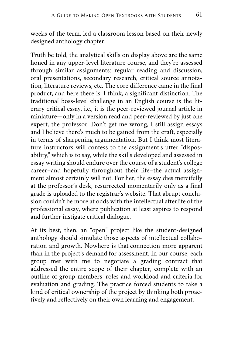weeks of the term, led a classroom lesson based on their newly designed anthology chapter.

Truth be told, the analytical skills on display above are the same honed in any upper-level literature course, and they're assessed through similar assignments: regular reading and discussion, oral presentations, secondary research, critical source annotation, literature reviews, etc. The core difference came in the final product, and here there is, I think, a significant distinction. The traditional boss-level challenge in an English course is the literary critical essay, i.e., it is the peer-reviewed journal article in miniature—only in a version read and peer-reviewed by just one expert, the professor. Don't get me wrong, I still assign essays and I believe there's much to be gained from the craft, especially in terms of sharpening argumentation. But I think most literature instructors will confess to the assignment's utter "disposability," which is to say, while the skills developed and assessed in essay writing should endure over the course of a student's college career–and hopefully throughout their life–the actual assignment almost certainly will not. For her, the essay dies mercifully at the professor's desk, resurrected momentarily only as a final grade is uploaded to the registrar's website. That abrupt conclusion couldn't be more at odds with the intellectual afterlife of the professional essay, where publication at least aspires to respond and further instigate critical dialogue.

At its best, then, an "open" project like the student-designed anthology should simulate those aspects of intellectual collaboration and growth. Nowhere is that connection more apparent than in the project's demand for assessment. In our course, each group met with me to negotiate a grading contract that addressed the entire scope of their chapter, complete with an outline of group members' roles and workload and criteria for evaluation and grading. The practice forced students to take a kind of critical ownership of the project by thinking both proactively and reflectively on their own learning and engagement.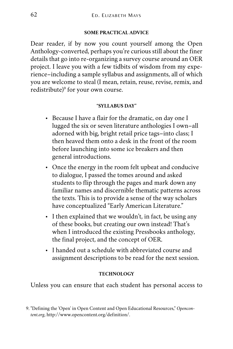#### **SOME PRACTICAL ADVICE**

Dear reader, if by now you count yourself among the Open Anthology-converted, perhaps you're curious still about the finer details that go into re-organizing a survey course around an OER project. I leave you with a few tidbits of wisdom from my experience–including a sample syllabus and assignments, all of which you are welcome to steal (I mean, [retain, reuse, revise, remix, and](http://www.opencontent.org/definition/) [redistribute\)](http://www.opencontent.org/definition/) 9 for your own course.

### **"SYLLABUS DAY"**

- Because I have a flair for the dramatic, on day one I lugged the six or seven literature anthologies I own–all adorned with big, bright retail price tags–into class; I then heaved them onto a desk in the front of the room before launching into some ice breakers and then general introductions.
- Once the energy in the room felt upbeat and conducive to dialogue, I passed the tomes around and asked students to flip through the pages and mark down any familiar names and discernible thematic patterns across the texts. This is to provide a sense of the way scholars have conceptualized "Early American Literature."
- I then explained that we wouldn't, in fact, be using any of these books, but creating our own instead! That's when I introduced the existing Pressbooks anthology, the final project, and the concept of OER.
- I handed out a schedule with abbreviated course and assignment descriptions to be read for the next session.

### **TECHNOLOGY**

Unless you can ensure that each student has personal access to

<sup>9.</sup> "Defining the 'Open' in Open Content and Open Educational Resources," *Opencontent.org*, http://www.opencontent.org/definition/.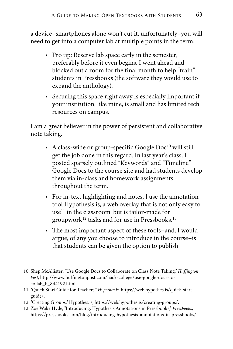a device–smartphones alone won't cut it, unfortunately–you will need to get into a computer lab at multiple points in the term.

- Pro tip: Reserve lab space early in the semester, preferably before it even begins. I went ahead and blocked out a room for the final month to help "train" students in Pressbooks (the software they would use to expand the anthology).
- Securing this space right away is especially important if your institution, like mine, is small and has limited tech resources on campus.

I am a great believer in the power of persistent and collaborative note taking.

- A class-wide or group-specific Google  $Doc^{10}$  will still get the job done in this regard. In last year's class, I posted sparsely outlined "Keywords" and "Timeline" Google Docs to the course site and had students develop them via in-class and homework assignments throughout the term.
- For in-text highlighting and notes, I use the annotation tool Hypothesis.is, a web overlay that is not only [easy to](https://web.hypothes.is/quick-start-guide/)  [use](https://web.hypothes.is/quick-start-guide/)<sup>11</sup> in the classroom, but is tailor-made for [groupwork](https://web.hypothes.is/creating-groups/)<sup>12</sup> tasks and for [use in Pressbooks](https://pressbooks.com/blog/introducing-hypothesis-annotations-in-pressbooks/). 13
- The most important aspect of these tools–and, I would argue, of any you choose to introduce in the course–is that students can be given the option to publish
- 10. Shep McAllister, "Use Google Docs to Collaborate on Class Note Taking," *Huffington Post*, http://www.huffingtonpost.com/hack-college/use-google-docs-tocollab\_b\_844192.html.
- 11. "Quick Start Guide for Teachers," *Hypothes.is*, https://web.hypothes.is/quick-startguide/.
- 12. "Creating Groups," Hypothes.is, https://web.hypothes.is/creating-groups/.
- 13. Zoe Wake Hyde, "Introducing: Hypothesis Annotations in Pressbooks," *Pressbooks*, https://pressbooks.com/blog/introducing-hypothesis-annotations-in-pressbooks/.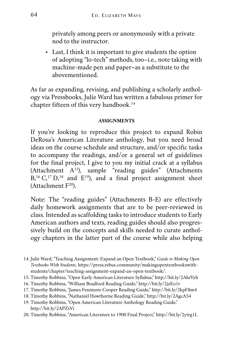privately among peers or anonymously with a private nod to the instructor.

• Last, I think it is important to give students the option of adopting "lo-tech" methods, too–i.e., note taking with machine-made pen and paper–as a substitute to the abovementioned.

As far as expanding, revising, and publishing a scholarly anthology via Pressbooks, Julie Ward has written a fabulous primer for [chapter fifteen of this very handbook](#page-90-0). 14

## **ASSIGNMENTS**

If you're looking to reproduce this project to expand Robin DeRosa's American Literature anthology, but you need broad ideas on the course schedule and structure, and/or specific tasks to accompany the readings, and/or a general set of guidelines for the final project, I give to you my initial crack at a syllabus ([Attachment A](https://docs.google.com/document/d/1vwxvHsGSVts1To0sNZfVAkRZjyBqf1MHV0LbmJu0clU/edit?usp=sharing)<sup>15</sup>), sample "reading guides" (Attachments  $B$ ,<sup>16</sup> [C](https://docs.google.com/document/d/15rb2bSFcuGf2_WqieLMI3U_CvFQiaWfzKf_wu1oLuTo/edit?usp=sharing),<sup>17</sup> [D](https://docs.google.com/document/d/17FKrCkrxkuFl2EJePgzA43yJW_36tYS5UE0e62GosNk/edit?usp=sharing),<sup>18</sup> and [E](https://docs.google.com/document/d/1rRxOYV0HcvrDQmucXN0UvvT4ntPrWa3zTottUTmyiWE/edit?usp=sharing)<sup>19</sup>), and a final project assignment sheet (Attachment  $F^{20}$ ).

Note: The "reading guides" (Attachments B-E) are effectively daily homework assignments that are to be peer-reviewed in class. Intended as scaffolding tasks to introduce students to Early American authors and texts, reading guides should also progressively build on the concepts and skills needed to curate anthology chapters in the latter part of the course while also helping

- 14. Julie Ward, "Teaching Assignment: Expand an Open Textbook," *Guide to Making Open Textbooks With Students,* https://press.rebus.community/makingopentextbookswithstudents/chapter/teaching-assignment-expand-an-open-textbook/.
- 15. Timothy Robbins, "Open Early American Literature Syllabus," http://bit.ly/2AhrYyh
- 16. Timothy Robbins, "William Bradford Reading Guide," http://bit.ly/2jzEo1r
- 17. Timothy Robbins, "James Fenimore Cooper Reading Guide," http://bit.ly/2kpF8m4
- 18. Timothy Robbins, "Nathaniel Hawthorne Reading Guide," http://bit.ly/2AgcA54
- 19. Timothy Robbins, "Open American Literature Anthology Reading Guide," http://bit.ly/2APZsVi
- 20. Timothy Robbins, "American Literature to 1900 Final Project," http://bit.ly/2yirg1L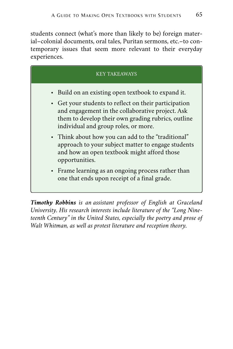students connect (what's more than likely to be) foreign material–colonial documents, oral tales, Puritan sermons, etc.–to contemporary issues that seem more relevant to their everyday experiences.



*Timothy Robbins is an assistant professor of English at Graceland University. His research interests include literature of the "Long Nineteenth Century" in the United States, especially the poetry and prose of Walt Whitman, as well as protest literature and reception theory.*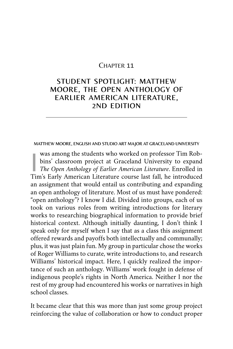#### CHAPTER 11

# STUDENT SPOTLIGHT: MATTHEW MOORE, THE OPEN ANTHOLOGY OF EARLIER AMERICAN LITERATURE, 2ND EDITION

#### MATTHEW MOORE, ENGLISH AND STUDIO ART MAJOR AT GRACELAND UNIVERSITY

was among the students who worked on professor Tim Rob-<br>bins' classroom project at Graceland University to expand<br>The Open Anthology of Earlier American Literature. Enrolled in bins' classroom project at Graceland University to expand *The Open Anthology of Earlier American Literature*. Enrolled in Tim's Early American Literature course last fall, he introduced an assignment that would entail us contributing and expanding an open anthology of literature. Most of us must have pondered: "open anthology"? I know I did. Divided into groups, each of us took on various roles from writing introductions for literary works to researching biographical information to provide brief historical context. Although initially daunting, I don't think I speak only for myself when I say that as a class this assignment offered rewards and payoffs both intellectually and communally; plus, it was just plain fun. My group in particular chose the works of Roger Williams to curate, write introductions to, and research Williams' historical impact. Here, I quickly realized the importance of such an anthology. Williams' work fought in defense of indigenous people's rights in North America. Neither I nor the rest of my group had encountered his works or narratives in high school classes.

It became clear that this was more than just some group project reinforcing the value of collaboration or how to conduct proper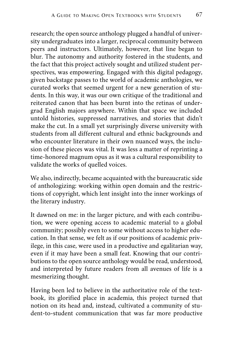research; the open source anthology plugged a handful of university undergraduates into a larger, reciprocal community between peers and instructors. Ultimately, however, that line began to blur. The autonomy and authority fostered in the students, and the fact that this project actively sought and utilized student perspectives, was empowering. Engaged with this digital pedagogy, given backstage passes to the world of academic anthologies, we curated works that seemed urgent for a new generation of students. In this way, it was our own critique of the traditional and reiterated canon that has been burnt into the retinas of undergrad English majors anywhere. Within that space we included untold histories, suppressed narratives, and stories that didn't make the cut. In a small yet surprisingly diverse university with students from all different cultural and ethnic backgrounds and who encounter literature in their own nuanced ways, the inclusion of these pieces was vital. It was less a matter of reprinting a time-honored magnum opus as it was a cultural responsibility to validate the works of quelled voices.

We also, indirectly, became acquainted with the bureaucratic side of anthologizing: working within open domain and the restrictions of copyright, which lent insight into the inner workings of the literary industry.

It dawned on me: in the larger picture, and with each contribution, we were opening access to academic material to a global community; possibly even to some without access to higher education. In that sense, we felt as if our positions of academic privilege, in this case, were used in a productive and egalitarian way, even if it may have been a small feat. Knowing that our contributions to the open source anthology would be read, understood, and interpreted by future readers from all avenues of life is a mesmerizing thought.

Having been led to believe in the authoritative role of the textbook, its glorified place in academia, this project turned that notion on its head and, instead, cultivated a community of student-to-student communication that was far more productive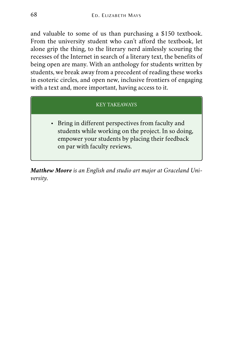and valuable to some of us than purchasing a \$150 textbook. From the university student who can't afford the textbook, let alone grip the thing, to the literary nerd aimlessly scouring the recesses of the Internet in search of a literary text, the benefits of being open are many. With an anthology for students written by students, we break away from a precedent of reading these works in esoteric circles, and open new, inclusive frontiers of engaging with a text and, more important, having access to it.

### KEY TAKEAWAYS

• Bring in different perspectives from faculty and students while working on the project. In so doing, empower your students by placing their feedback on par with faculty reviews.

*Matthew Moore is an English and studio art major at Graceland University.*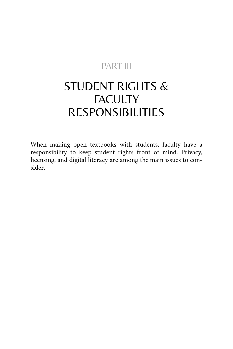# PART III

# STUDENT RIGHTS & **FACULTY** RESPONSIBILITIES

When making open textbooks with students, faculty have a responsibility to keep student rights front of mind. Privacy, licensing, and digital literacy are among the main issues to consider.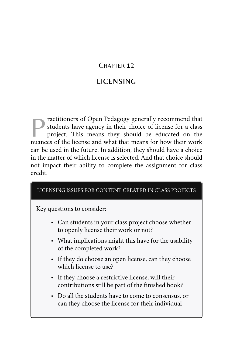# CHAPTER 12

# LICENSING

P ractitioners of Open Pedagogy generally recommend that<br>students have agency in their choice of license for a class<br>project. This means they should be educated on the<br>muanos of the ligense and what that means for how thei students have agency in their choice of license for a class project. This means they should be educated on the nuances of the license and what that means for how their work can be used in the future. In addition, they should have a choice in the matter of which license is selected. And that choice should not impact their ability to complete the assignment for class credit.

#### LICENSING ISSUES FOR CONTENT CREATED IN CLASS PROJECTS

Key questions to consider:

- Can students in your class project choose whether to openly license their work or not?
- What implications might this have for the usability of the completed work?
- If they do choose an open license, can they choose which license to use?
- If they choose a restrictive license, will their contributions still be part of the finished book?
- Do all the students have to come to consensus, or can they choose the license for their individual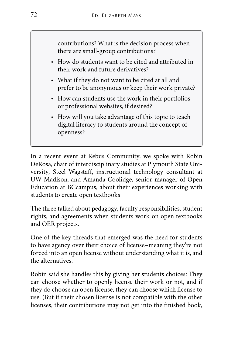contributions? What is the decision process when there are small-group contributions?

- How do students want to be cited and attributed in their work and future derivatives?
- What if they do not want to be cited at all and prefer to be anonymous or keep their work private?
- How can students use the work in their portfolios or professional websites, if desired?
- How will you take advantage of this topic to teach digital literacy to students around the concept of openness?

In a recent event at Rebus Community, we spoke with Robin DeRosa, chair of interdisciplinary studies at Plymouth State University, Steel Wagstaff, instructional technology consultant at UW-Madison, and Amanda Coolidge, senior manager of Open Education at BCcampus, about their experiences working with students to create open textbooks

The three talked about pedagogy, faculty responsibilities, student rights, and agreements when students work on open textbooks and OER projects.

One of the key threads that emerged was the need for students to have agency over their choice of license–meaning they're not forced into an open license without understanding what it is, and the alternatives.

Robin said she handles this by giving her students choices: They can choose whether to openly license their work or not, and if they do choose an open license, they can choose which license to use. (But if their chosen license is not compatible with the other licenses, their contributions may not get into the finished book,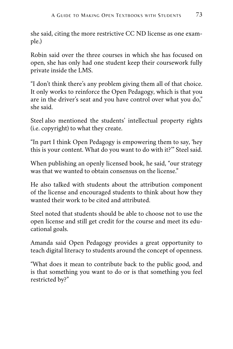she said, citing the more restrictive CC ND license as one example.)

Robin said over the three courses in which she has focused on open, she has only had one student keep their coursework fully private inside the LMS.

"I don't think there's any problem giving them all of that choice. It only works to reinforce the Open Pedagogy, which is that you are in the driver's seat and you have control over what you do," she said.

Steel also mentioned the students' intellectual property rights (i.e. copyright) to what they create.

"In part I think Open Pedagogy is empowering them to say, 'hey this is your content. What do you want to do with it?'" Steel said.

When publishing an openly licensed book, he said, "our strategy was that we wanted to obtain consensus on the license."

He also talked with students about the attribution component of the license and encouraged students to think about how they wanted their work to be cited and attributed.

Steel noted that students should be able to choose not to use the open license and still get credit for the course and meet its educational goals.

Amanda said Open Pedagogy provides a great opportunity to teach digital literacy to students around the concept of openness.

"What does it mean to contribute back to the public good, and is that something you want to do or is that something you feel restricted by?"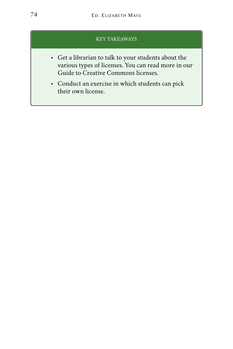#### KEY TAKEAWAYS

- Get a librarian to talk to your students about the various types of licenses. You can read more in our [Guide to Creative Commons licenses](#page-110-0).
- Conduct an exercise in which students can pick their own license.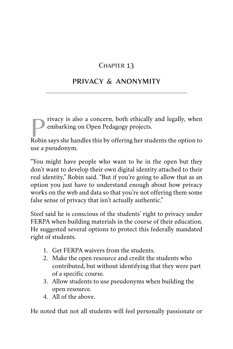# CHAPTER 13

# PRIVACY & ANONYMITY

rivacy is also a concern, both ethically and legally, when embarking on Open Pedagogy projects.

Robin says she handles this by offering her students the option to use a pseudonym.

"You might have people who want to be in the open but they don't want to develop their own digital identity attached to their real identity," Robin said. "But if you're going to allow that as an option you just have to understand enough about how privacy works on the web and data so that you're not offering them some false sense of privacy that isn't actually authentic."

Steel said he is conscious of the students' right to privacy under FERPA when building materials in the course of their education. He suggested several options to protect this federally mandated right of students.

- 1. Get FERPA waivers from the students.
- 2. Make the open resource and credit the students who contributed, but without identifying that they were part of a specific course.
- 3. Allow students to use pseudonyms when building the open resource.
- 4. All of the above.

He noted that not all students will feel personally passionate or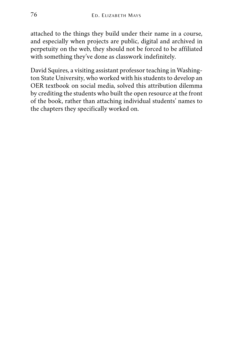attached to the things they build under their name in a course, and especially when projects are public, digital and archived in perpetuity on the web, they should not be forced to be affiliated with something they've done as classwork indefinitely.

David Squires, a visiting assistant professor teaching in Washington State University, who worked with his students to develop an OER textbook on social media, solved this attribution dilemma by crediting the students who built the open resource at the front of the book, rather than attaching individual students' names to the chapters they specifically worked on.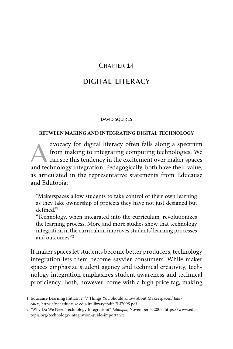# CHAPTER 14

# DIGITAL LITERACY

#### DAVID SQUIRES

#### **BETWEEN MAKING AND INTEGRATING DIGITAL TECHNOLOGY**

dvocacy for digital literacy often falls along a spectrum<br>from making to integrating computing technologies. We<br>can see this tendency in the excitement over maker spaces from making to integrating computing technologies. We can see this tendency in the excitement over maker spaces and technology integration. Pedagogically, both have their value, as articulated in the representative statements from Educause and Edutopia:

"Makerspaces allow students to take control of their own learning as they take ownership of projects they have not just designed but defined." 1

"Technology, when integrated into the curriculum, revolutionizes the learning process. More and more studies show that technology integration in the curriculum improves students' learning processes and outcomes." 2

If maker spaces let students become better producers, technology integration lets them become savvier consumers. While maker spaces emphasize student agency and technical creativity, technology integration emphasizes student awareness and technical proficiency. Both, however, come with a high price tag, making

<sup>1.</sup> Educause Learning Initiative, "7 Things You Should Know about Makerspaces," *Educause,* https://net.educause.edu/ir/library/pdf/ELI7095.pdf.

<sup>2.</sup> "Why Do We Need Technology Integration?," *Edutopia*, November 5, 2007, https://www.edutopia.org/technology-integration-guide-importance.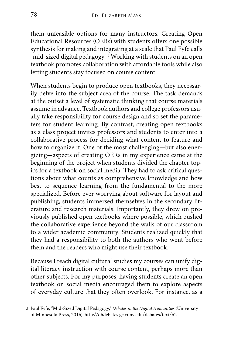them unfeasible options for many instructors. Creating Open Educational Resources (OERs) with students offers one possible synthesis for making and integrating at a scale that Paul Fyfe calls "mid-sized digital pedagogy." <sup>3</sup> Working with students on an open textbook promotes collaboration with affordable tools while also letting students stay focused on course content.

When students begin to produce open textbooks, they necessarily delve into the subject area of the course. The task demands at the outset a level of systematic thinking that course materials assume in advance. Textbook authors and college professors usually take responsibility for course design and so set the parameters for student learning. By contrast, creating open textbooks as a class project invites professors and students to enter into a collaborative process for deciding what content to feature and how to organize it. One of the most challenging—but also energizing—aspects of creating OERs in my experience came at the beginning of the project when students divided the chapter topics for a textbook on social media. They had to ask critical questions about what counts as comprehensive knowledge and how best to sequence learning from the fundamental to the more specialized. Before ever worrying about software for layout and publishing, students immersed themselves in the secondary literature and research materials. Importantly, they drew on previously published open textbooks where possible, which pushed the collaborative experience beyond the walls of our classroom to a wider academic community. Students realized quickly that they had a responsibility to both the authors who went before them and the readers who might use their textbook.

Because I teach digital cultural studies my courses can unify digital literacy instruction with course content, perhaps more than other subjects. For my purposes, having students create an open textbook on social media encouraged them to explore aspects of everyday culture that they often overlook. For instance, as a

<sup>3.</sup> Paul Fyfe, "Mid-Sized Digital Pedagogy," *Debates in the Digital Humanities* (University of Minnesota Press, 2016), http://dhdebates.gc.cuny.edu/debates/text/62.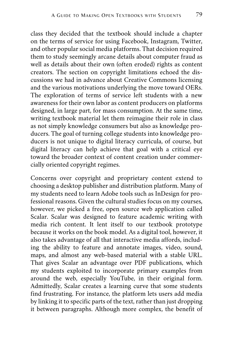class they decided that the textbook should include a chapter on the terms of service for using Facebook, Instagram, Twitter, and other popular social media platforms. That decision required them to study seemingly arcane details about computer fraud as well as details about their own (often eroded) rights as content creators. The section on copyright limitations echoed the discussions we had in advance about Creative Commons licensing and the various motivations underlying the move toward OERs. The exploration of terms of service left students with a new awareness for their own labor as content producers on platforms designed, in large part, for mass consumption. At the same time, writing textbook material let them reimagine their role in class as not simply knowledge consumers but also as knowledge producers. The goal of turning college students into knowledge producers is not unique to digital literacy curricula, of course, but digital literacy can help achieve that goal with a critical eye toward the broader context of content creation under commercially oriented copyright regimes.

Concerns over copyright and proprietary content extend to choosing a desktop publisher and distribution platform. Many of my students need to learn Adobe tools such as InDesign for professional reasons. Given the cultural studies focus on my courses, however, we picked a free, open source web application called Scalar. Scalar was designed to feature academic writing with media rich content. It lent itself to our textbook prototype because it works on the book model. As a digital tool, however, it also takes advantage of all that interactive media affords, including the ability to feature and annotate images, video, sound, maps, and almost any web-based material with a stable URL. That gives Scalar an advantage over PDF publications, which my students exploited to incorporate primary examples from around the web, especially YouTube, in their original form. Admittedly, Scalar creates a learning curve that some students find frustrating. For instance, the platform lets users add media by linking it to specific parts of the text, rather than just dropping it between paragraphs. Although more complex, the benefit of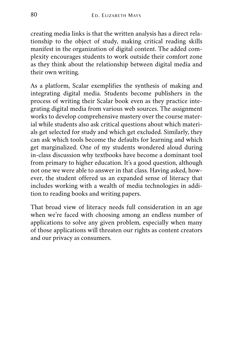creating media links is that the written analysis has a direct relationship to the object of study, making critical reading skills manifest in the organization of digital content. The added complexity encourages students to work outside their comfort zone as they think about the relationship between digital media and their own writing.

As a platform, Scalar exemplifies the synthesis of making and integrating digital media. Students become publishers in the process of writing their Scalar book even as they practice integrating digital media from various web sources. The assignment works to develop comprehensive mastery over the course material while students also ask critical questions about which materials get selected for study and which get excluded. Similarly, they can ask which tools become the defaults for learning and which get marginalized. One of my students wondered aloud during in-class discussion why textbooks have become a dominant tool from primary to higher education. It's a good question, although not one we were able to answer in that class. Having asked, however, the student offered us an expanded sense of literacy that includes working with a wealth of media technologies in addition to reading books and writing papers.

That broad view of literacy needs full consideration in an age when we're faced with choosing among an endless number of applications to solve any given problem, especially when many of those applications will threaten our rights as content creators and our privacy as consumers.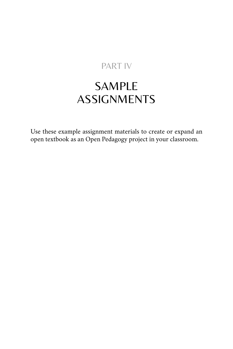# PART IV

# SAMPLE ASSIGNMENTS

Use these example assignment materials to create or expand an open textbook as an Open Pedagogy project in your classroom.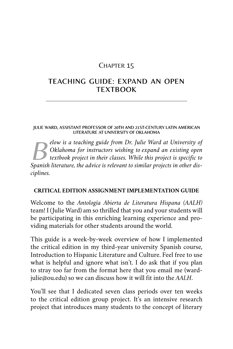# CHAPTER 15

# TEACHING GUIDE: EXPAND AN OPEN TEXTBOOK

#### JULIE WARD, ASSISTANT PROFESSOR OF 20TH AND 21ST-CENTURY LATIN AMERICAN LITERATURE AT UNIVERSITY OF OKLAHOMA

 $B^{\omega}_{\mu}$ *elow is a teaching guide from Dr. Julie Ward at University of Oklahoma for instructors wishing to expand an existing open textbook project in their classes. While this project is specific to Spanish literature, the advice is relevant to similar projects in other disciplines.*

#### **CRITICAL EDITION ASSIGNMENT IMPLEMENTATION GUIDE**

Welcome to the *Antología Abierta de Literatura Hispana (AALH)*  team! I (Julie Ward) am so thrilled that you and your students will be participating in this enriching learning experience and providing materials for other students around the world.

This guide is a week-by-week overview of how I implemented the critical edition in my third-year university Spanish course, Introduction to Hispanic Literature and Culture. Feel free to use what is helpful and ignore what isn't. I do ask that if you plan to stray too far from the format here that you email me [\(ward](https://press.rebus.community/makingopentextbookswithstudents/format/blank)[julie@ou.edu\)](https://press.rebus.community/makingopentextbookswithstudents/format/blank) so we can discuss how it will fit into the *AALH*.

You'll see that I dedicated seven class periods over ten weeks to the critical edition group project. It's an intensive research project that introduces many students to the concept of literary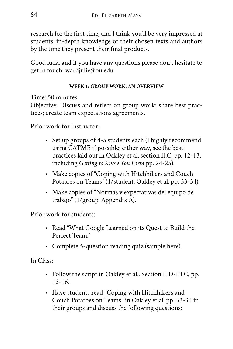research for the first time, and I think you'll be very impressed at students' in-depth knowledge of their chosen texts and authors by the time they present their final products.

Good luck, and if you have any questions please don't hesitate to get in touch: [wardjulie@ou.edu](mailto:wardjulie@ou.edu)

#### **WEEK 1: GROUP WORK, AN OVERVIEW**

Time: 50 minutes

Objective: Discuss and reflect on group work; share best practices; create team expectations agreements.

Prior work for instructor:

- Set up groups of 4-5 students each (I highly recommend using [CATME](https://www.catme.org/login/index) if possible; either way, see the best practices laid out in [Oakley et al](http://www4.ncsu.edu/unity/lockers/users/f/felder/public/Papers/Oakley-paper(JSCL).pdf). section II.C, pp. 12-13, including *Getting to Know You Form* pp. 24-25).
- Make copies of "Coping with Hitchhikers and Couch Potatoes on Teams" (1/student, Oakley et al. pp. 33-34).
- Make copies of "Normas y expectativas del equipo de trabajo" (1/group, [Appendix A](https://docs.google.com/document/d/1NzQU56DXze8GBeSWxQ4Y9-t-ClW2TByoGW97pBmMWiw/edit#heading=h.4d34og8)).

Prior work for students:

- Read ["What Google Learned on its Quest to Build the](https://www.nytimes.com/2016/02/28/magazine/what-google-learned-from-its-quest-to-build-the-perfect-team.html?mcubz=1&_r=0)  [Perfect Team.](https://www.nytimes.com/2016/02/28/magazine/what-google-learned-from-its-quest-to-build-the-perfect-team.html?mcubz=1&_r=0)"
- Complete 5-question reading quiz (sample [here](https://canvas.ou.edu/courses/21627/external_tools/3?launch_type=quiz_menu&quizzes%5B%5D=33626)).

In Class:

- Follow the script in Oakley et al., Section II.D-III.C, pp. 13-16.
- Have students read "Coping with Hitchhikers and Couch Potatoes on Teams" in Oakley et al. pp. 33-34 in their groups and discuss the following questions: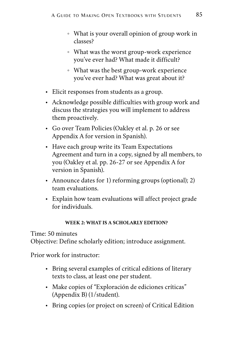- What is your overall opinion of group work in classes?
- What was the worst group-work experience you've ever had? What made it difficult?
- What was the best group-work experience you've ever had? What was great about it?
- Elicit responses from students as a group.
- Acknowledge possible difficulties with group work and discuss the strategies you will implement to address them proactively.
- Go over Team Policies (Oakley et al. p. 26 or see [Appendix A](https://docs.google.com/document/d/1NzQU56DXze8GBeSWxQ4Y9-t-ClW2TByoGW97pBmMWiw/edit#heading=h.4d34og8) for version in Spanish).
- Have each group write its Team Expectations Agreement and turn in a copy, signed by all members, to you (Oakley et al. pp. 26-27 or see [Appendix A](https://docs.google.com/document/d/1NzQU56DXze8GBeSWxQ4Y9-t-ClW2TByoGW97pBmMWiw/edit#heading=h.4d34og8) for version in Spanish).
- Announce dates for 1) reforming groups (optional); 2) team evaluations.
- Explain how team evaluations will affect project grade for individuals.

### **WEEK 2: WHAT IS A SCHOLARLY EDITION?**

Time: 50 minutes Objective: Define scholarly edition; introduce assignment.

Prior work for instructor:

- Bring several examples of critical editions of literary texts to class, at least one per student.
- Make copies of "Exploración de ediciones críticas" ([Appendix B](https://docs.google.com/document/d/1NzQU56DXze8GBeSWxQ4Y9-t-ClW2TByoGW97pBmMWiw/edit#heading=h.qowng8kp5jmv)) (1/student).
- Bring copies (or project on screen) of Critical Edition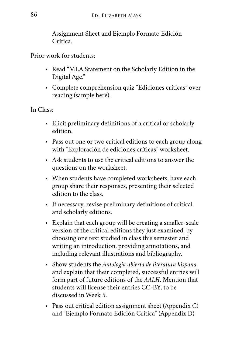Assignment Sheet and Ejemplo Formato Edición Crítica.

Prior work for students:

- Read "MLA Statement on the Scholarly Edition in the Digital Age."
- Complete comprehension quiz "Ediciones críticas" over reading (sample [here](https://canvas.ou.edu/courses/21627/external_tools/3?launch_type=quiz_menu&quizzes%5B%5D=33308)).

In Class:

- Elicit preliminary definitions of a critical or scholarly edition.
- Pass out one or two critical editions to each group along with "Exploración de ediciones críticas" worksheet.
- Ask students to use the critical editions to answer the questions on the worksheet.
- When students have completed worksheets, have each group share their responses, presenting their selected edition to the class.
- If necessary, revise preliminary definitions of critical and scholarly editions.
- Explain that each group will be creating a smaller-scale version of the critical editions they just examined, by choosing one text studied in class this semester and writing an introduction, providing annotations, and including relevant illustrations and bibliography.
- Show students the *Antología abierta de literatura hispana*  and explain that their completed, successful entries will form part of future editions of the *AALH*. Mention that students will license their entries CC-BY, to be discussed in Week 5.
- Pass out critical edition assignment sheet [\(Appendix C\)](https://docs.google.com/document/d/1NzQU56DXze8GBeSWxQ4Y9-t-ClW2TByoGW97pBmMWiw/edit#heading=h.eatluqh4pcts) and "Ejemplo Formato Edición Crítica" [\(Appendix D](https://docs.google.com/document/d/1NzQU56DXze8GBeSWxQ4Y9-t-ClW2TByoGW97pBmMWiw/edit#heading=h.std8j9ku511p))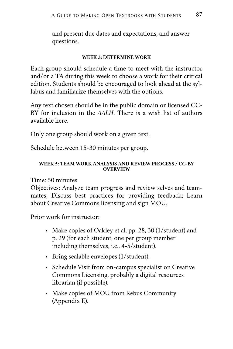and present due dates and expectations, and answer questions.

#### **WEEK 3: DETERMINE WORK**

Each group should schedule a time to meet with the instructor and/or a TA during this week to choose a work for their critical edition. Students should be encouraged to look ahead at the syllabus and familiarize themselves with the options.

Any text chosen should be in the public domain or licensed CC-BY for inclusion in the *AALH*. There is a wish list of authors available [here](https://docs.google.com/document/d/16kb8cHHhDkYWHxWN5mjP_CtfObrkMfYL7JArWV1Ctrw/edit).

Only one group should work on a given text.

Schedule between 15-30 minutes per group.

#### **WEEK 5: TEAM WORK ANALYSIS AND REVIEW PROCESS / CC-BY OVERVIEW**

<span id="page-94-0"></span>Time: 50 minutes

Objectives: Analyze team progress and review selves and teammates; Discuss best practices for providing feedback; Learn about Creative Commons licensing and sign MOU.

Prior work for instructor:

- Make copies of Oakley et al. pp. 28, 30 (1/student) and p. 29 (for each student, one per group member including themselves, i.e., 4-5/student).
- Bring sealable envelopes (1/student).
- Schedule Visit from on-campus specialist on Creative Commons Licensing, probably a digital resources librarian (if possible).
- Make copies of MOU from Rebus Community ([Appendix E\)](https://docs.google.com/document/d/1NzQU56DXze8GBeSWxQ4Y9-t-ClW2TByoGW97pBmMWiw/edit#heading=h.kj6132laspt9).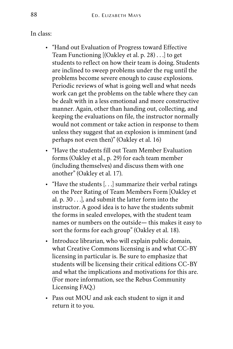In class:

- "Hand out Evaluation of Progress toward Effective Team Functioning [(Oakley et al. p. 28) . . .] to get students to reflect on how their team is doing. Students are inclined to sweep problems under the rug until the problems become severe enough to cause explosions. Periodic reviews of what is going well and what needs work can get the problems on the table where they can be dealt with in a less emotional and more constructive manner. Again, other than handing out, collecting, and keeping the evaluations on file, the instructor normally would not comment or take action in response to them unless they suggest that an explosion is imminent (and perhaps not even then)" (Oakley et al. 16)
- "Have the students fill out Team Member Evaluation forms (Oakley et al., p. 29) for each team member (including themselves) and discuss them with one another" (Oakley et al. 17).
- "Have the students [...] summarize their verbal ratings on the Peer Rating of Team Members Form [Oakley et al. p. 30 . . .], and submit the latter form into the instructor. A good idea is to have the students submit the forms in sealed envelopes, with the student team names or numbers on the outside— this makes it easy to sort the forms for each group" (Oakley et al. 18).
- Introduce librarian, who will explain public domain, what Creative Commons licensing is and what CC-BY licensing in particular is. Be sure to emphasize that students will be licensing their critical editions CC-BY and what the implications and motivations for this are. (For more information, see the [Rebus Community](https://about.rebus.community/licensing/) [Licensing FAQ](https://about.rebus.community/licensing/).)
- Pass out MOU and ask each student to sign it and return it to you.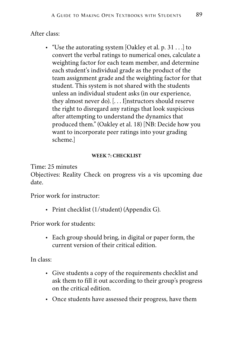# After class:

• "Use the autorating system [Oakley et al. p. 31 . . .] to convert the verbal ratings to numerical ones, calculate a weighting factor for each team member, and determine each student's individual grade as the product of the team assignment grade and the weighting factor for that student. This system is not shared with the students unless an individual student asks (in our experience, they almost never do). [. . . I]nstructors should reserve the right to disregard any ratings that look suspicious after attempting to understand the dynamics that produced them." (Oakley et al. 18) [NB: Decide how you want to incorporate peer ratings into your grading scheme.]

#### **WEEK 7: CHECKLIST**

Time: 25 minutes

Objectives: Reality Check on progress vis a vis upcoming due date.

Prior work for instructor:

• Print checklist (1/student) [\(Appendix G](https://docs.google.com/document/d/1NzQU56DXze8GBeSWxQ4Y9-t-ClW2TByoGW97pBmMWiw/edit#heading=h.1ksv4uv)).

Prior work for students:

• Each group should bring, in digital or paper form, the current version of their critical edition.

In class:

- Give students a copy of the requirements checklist and ask them to fill it out according to their group's progress on the critical edition.
- Once students have assessed their progress, have them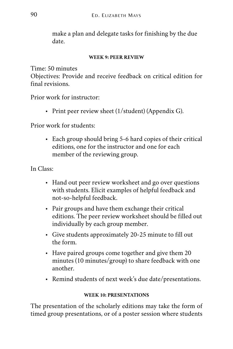make a plan and delegate tasks for finishing by the due date.

### **WEEK 9: PEER REVIEW**

Time: 50 minutes

Objectives: Provide and receive feedback on critical edition for final revisions.

Prior work for instructor:

• Print peer review sheet (1/student) ([Appendix G\)](https://docs.google.com/document/d/1NzQU56DXze8GBeSWxQ4Y9-t-ClW2TByoGW97pBmMWiw/edit#heading=h.1ksv4uv).

Prior work for students:

• Each group should bring 5-6 hard copies of their critical editions, one for the instructor and one for each member of the reviewing group.

In Class:

- Hand out peer review worksheet and go over questions with students. Elicit examples of helpful feedback and not-so-helpful feedback.
- Pair groups and have them exchange their critical editions. The peer review worksheet should be filled out individually by each group member.
- Give students approximately 20-25 minute to fill out the form.
- Have paired groups come together and give them 20 minutes (10 minutes/group) to share feedback with one another.
- Remind students of next week's due date/presentations.

# **WEEK 10: PRESENTATIONS**

The presentation of the scholarly editions may take the form of timed group presentations, or of a poster session where students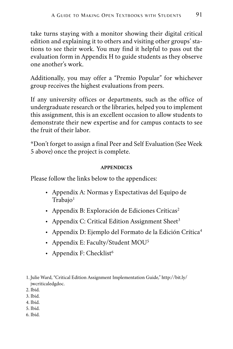take turns staying with a monitor showing their digital critical edition and explaining it to others and visiting other groups' stations to see their work. You may find it helpful to pass out the evaluation form in [Appendix H](https://docs.google.com/document/d/1NzQU56DXze8GBeSWxQ4Y9-t-ClW2TByoGW97pBmMWiw/edit#heading=h.fkp1list7h6) to guide students as they observe one another's work.

Additionally, you may offer a "Premio Popular" for whichever group receives the highest evaluations from peers.

If any university offices or departments, such as the office of undergraduate research or the libraries, helped you to implement this assignment, this is an excellent occasion to allow students to demonstrate their new expertise and for campus contacts to see the fruit of their labor.

\*Don't forget to assign a final Peer and Self Evaluation (See [Week](#page-94-0) [5](#page-94-0) above) once the project is complete.

#### **APPENDICES**

Please follow the links below to the appendices:

- [Appendix A: Normas y Expectativas del Equipo de](https://docs.google.com/document/d/1NzQU56DXze8GBeSWxQ4Y9-t-ClW2TByoGW97pBmMWiw/edit#heading=h.4d34og8)   $Trabajo<sup>1</sup>$  $Trabajo<sup>1</sup>$
- [Appendix B: Exploración de Ediciones Críticas](https://docs.google.com/document/d/1NzQU56DXze8GBeSWxQ4Y9-t-ClW2TByoGW97pBmMWiw/edit#heading=h.qowng8kp5jmv)<sup>2</sup>
- [Appendix C: Critical Edition Assignment Sheet](https://docs.google.com/document/d/1NzQU56DXze8GBeSWxQ4Y9-t-ClW2TByoGW97pBmMWiw/edit#heading=h.eatluqh4pcts)<sup>3</sup>
- [Appendix D: Ejemplo del Formato de la Edición Crítica](https://docs.google.com/document/d/1NzQU56DXze8GBeSWxQ4Y9-t-ClW2TByoGW97pBmMWiw/edit#heading=h.std8j9ku511p)<sup>4</sup>
- [Appendix E: Faculty/Student MOU](https://docs.google.com/document/d/1NzQU56DXze8GBeSWxQ4Y9-t-ClW2TByoGW97pBmMWiw/edit#heading=h.kj6132laspt9)<sup>5</sup>
- [Appendix F: Checklist](https://docs.google.com/document/d/1NzQU56DXze8GBeSWxQ4Y9-t-ClW2TByoGW97pBmMWiw/edit#heading=h.jbc8q9htv0kj)<sup>6</sup>

- 2. Ibid.
- 3. Ibid.
- 4. Ibid.
- 5. Ibid.
- 6. Ibid.

<sup>1.</sup> Julie Ward, "Critical Edition Assignment Implementation Guide," [http://bit.ly/](http://bit.ly/jwcriticaledgdoc) [jwcriticaledgdoc.](http://bit.ly/jwcriticaledgdoc)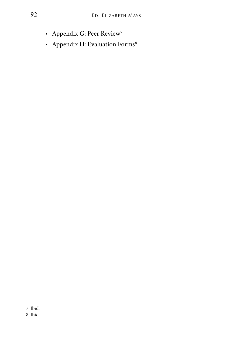- [Appendix G: Peer Review](https://docs.google.com/document/d/1NzQU56DXze8GBeSWxQ4Y9-t-ClW2TByoGW97pBmMWiw/edit#heading=h.1ksv4uv)<sup>7</sup>
- Appendix H: Evaluation  $\mathrm{Forms}^8$

7. Ibid. 8. Ibid.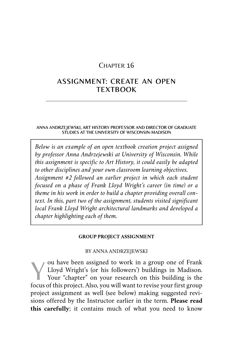## CHAPTER 16

# ASSIGNMENT: CREATE AN OPEN TEXTBOOK

#### ANNA ANDRZEJEWSKI, ART HISTORY PROFESSOR AND DIRECTOR OF GRADUATE STUDIES AT THE UNIVERSITY OF WISCONSIN-MADISON

*Below is an example of an open textbook creation project assigned by professor Anna Andrzejewski at University of Wisconsin. While this assignment is specific to Art History, it could easily be adapted to other disciplines and your own classroom learning objectives. Assignment #2 followed an earlier project in which each student focused on a phase of Frank Lloyd Wright's career (in time) or a theme in his work in order to build a chapter providing overall context. In this, part two of the assignment, students visited significant local Frank Lloyd Wright architectural landmarks and developed a chapter highlighting each of them.* 

#### **GROUP PROJECT ASSIGNMENT**

#### BY ANNA ANDRZEJEWSKI

V ou have been assigned to work in a group one of Frank<br>Lloyd Wright's (or his followers') buildings in Madison.<br>Your "chapter" on your research on this building is the Lloyd Wright's (or his followers') buildings in Madison. Your "chapter" on your research on this building is the focus of this project. Also, you will want to revise your first group project assignment as well (see below) making suggested revisions offered by the Instructor earlier in the term. **Please read this carefully**; it contains much of what you need to know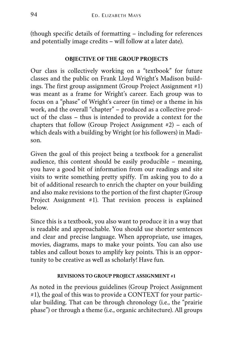(though specific details of formatting – including for references and potentially image credits – will follow at a later date).

## **OBJECTIVE OF THE GROUP PROJECTS**

Our class is collectively working on a "textbook" for future classes and the public on Frank Lloyd Wright's Madison buildings. The first group assignment (Group Project Assignment #1) was meant as a frame for Wright's career. Each group was to focus on a "phase" of Wright's career (in time) or a theme in his work, and the overall "chapter" – produced as a collective product of the class – thus is intended to provide a context for the chapters that follow (Group Project Assignment #2) – each of which deals with a building by Wright (or his followers) in Madison.

Given the goal of this project being a textbook for a generalist audience, this content should be easily producible – meaning, you have a good bit of information from our readings and site visits to write something pretty spiffy. I'm asking you to do a bit of additional research to enrich the chapter on your building and also make revisions to the portion of the first chapter (Group Project Assignment #1). That revision process is explained below.

Since this is a textbook, you also want to produce it in a way that is readable and approachable. You should use shorter sentences and clear and precise language. When appropriate, use images, movies, diagrams, maps to make your points. You can also use tables and callout boxes to amplify key points. This is an opportunity to be creative as well as scholarly! Have fun.

### **REVISIONS TO GROUP PROJECT ASSIGNMENT #1**

As noted in the previous guidelines (Group Project Assignment #1), the goal of this was to provide a CONTEXT for your particular building. That can be through chronology (i.e., the "prairie phase") or through a theme (i.e., organic architecture). All groups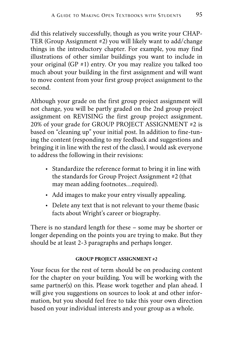did this relatively successfully, though as you write your CHAP-TER (Group Assignment #2) you will likely want to add/change things in the introductory chapter. For example, you may find illustrations of other similar buildings you want to include in your original (GP #1) entry. Or you may realize you talked too much about your building in the first assignment and will want to move content from your first group project assignment to the second.

Although your grade on the first group project assignment will not change, you will be partly graded on the 2nd group project assignment on REVISING the first group project assignment. 20% of your grade for GROUP PROJECT ASSIGNMENT #2 is based on "cleaning up" your initial post. In addition to fine-tuning the content (responding to my feedback and suggestions and bringing it in line with the rest of the class), I would ask everyone to address the following in their revisions:

- Standardize the reference format to bring it in line with the standards for Group Project Assignment #2 (that may mean adding footnotes…required).
- Add images to make your entry visually appealing.
- Delete any text that is not relevant to your theme (basic facts about Wright's career or biography.

There is no standard length for these – some may be shorter or longer depending on the points you are trying to make. But they should be at least 2-3 paragraphs and perhaps longer.

### **GROUP PROJECT ASSIGNMENT #2**

Your focus for the rest of term should be on producing content for the chapter on your building. You will be working with the same partner(s) on this. Please work together and plan ahead. I will give you suggestions on sources to look at and other information, but you should feel free to take this your own direction based on your individual interests and your group as a whole.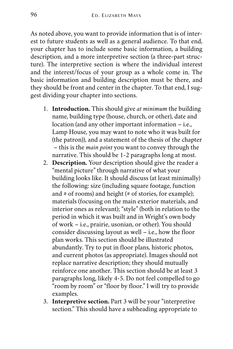As noted above, you want to provide information that is of interest to future students as well as a general audience. To that end, your chapter has to include some basic information, a building description, and a more interpretive section (a three-part structure). The interpretive section is where the individual interest and the interest/focus of your group as a whole come in. The basic information and building description must be there, and they should be front and center in the chapter. To that end, I suggest dividing your chapter into sections.

- 1. **Introduction.** This should give *at minimum* the building name, building type (house, church, or other), date and location (and any other important information – i.e., Lamp House, you may want to note who it was built for (the patron)), and a statement of the thesis of the chapter – this is the *main point* you want to convey through the narrative. This should be 1-2 paragraphs long at most.
- 2. **Description.** Your description should give the reader a "mental picture" through narrative of what your building looks like. It should discuss (at least minimally) the following: size (including square footage, function and # of rooms) and height (# of stories, for example); materials (focusing on the main exterior materials, and interior ones as relevant); "style" (both in relation to the period in which it was built and in Wright's own body of work – i.e., prairie, usonian, or other). You should consider discussing layout as well – i.e., how the floor plan works. This section should be illustrated abundantly. Try to put in floor plans, historic photos, and current photos (as appropriate). Images should not replace narrative description; they should mutually reinforce one another. This section should be at least 3 paragraphs long, likely 4-5. Do not feel compelled to go "room by room" or "floor by floor." I will try to provide examples.
- 3. **Interpretive section.** Part 3 will be your "interpretive section." This should have a subheading appropriate to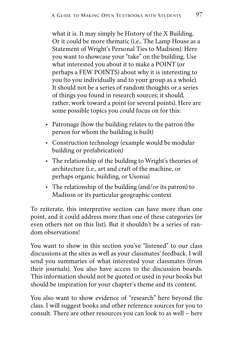what it is. It may simply be History of the X Building. Or it could be more thematic (i.e., The Lamp House as a Statement of Wright's Personal Ties to Madison). Here you want to showcase your "take" on the building. Use what interested you about it to make a POINT (or perhaps a FEW POINTS) about why it is interesting to you (to you individually and to your group as a whole). It should not be a series of random thoughts or a series of things you found in research sources; it should, rather, work toward a point (or several points). Here are some possible topics you could focus on for this:

- Patronage (how the building relates to the patron (the person for whom the building is built)
- Construction technology (example would be modular building or prefabrication)
- The relationship of the building to Wright's theories of architecture (i.e., art and craft of the machine, or perhaps organic building, or Usonia)
- The relationship of the building (and/or its patron) to Madison or its particular geographic context

To reiterate, this interpretive section can have more than one point, and it could address more than one of these categories (or even others not on this list). But it shouldn't be a series of random observations!

You want to show in this section you've "listened" to our class discussions at the sites as well as your classmates' feedback. I will send you summaries of what interested your classmates (from their journals). You also have access to the discussion boards. This information should not be quoted or used in your books but should be inspiration for your chapter's theme and its content.

You also want to show evidence of "research" here beyond the class. I will suggest books and other reference sources for you to consult. There are other resources you can look to as well – here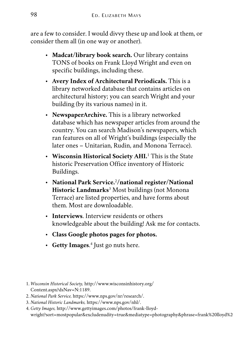are a few to consider. I would divvy these up and look at them, or consider them all (in one way or another).

- **Madcat/library book search.** Our library contains TONS of books on Frank Lloyd Wright and even on specific buildings, including these.
- **Avery Index of Architectural Periodicals.** This is a library networked database that contains articles on architectural history; you can search Wright and your building (by its various names) in it.
- **NewspaperArchive.** This is a library networked database which has newspaper articles from around the country. You can search Madison's newspapers, which ran features on all of Wright's buildings (especially the later ones – Unitarian, Rudin, and Monona Terrace).
- **[Wisconsin Historical Society AHI](http://www.wisconsinhistory.org/Content.aspx?dsNav=N:1189).** <sup>1</sup> This is the State historic Preservation Office inventory of Historic Buildings.
- **[National Park Service](https://www.nps.gov/nr/research/).** 2 **/national register[/National](https://www.nps.gov/nhl/) [Historic Landmarks](https://www.nps.gov/nhl/)**<sup>3</sup> Most buildings (not Monona Terrace) are listed properties, and have forms about them. Most are downloadable.
- **Interviews**. Interview residents or others knowledgeable about the building! Ask me for contacts.
- **Class Google photos pages for photos.**
- **[Getty Images](http://www.gettyimages.com/photos/frank-lloyd-wright?sort=mostpopular&excludenudity=true&mediatype=photography&phrase=frank%20lloyd%20wright[/footnote)**. 4 Just go nuts here.
- 1. *Wisconsin Historical Society,* [http://www.wisconsinhistory.org/](http://www.wisconsinhistory.org/Content.aspx?dsNav=N:1189) [Content.aspx?dsNav=N:1189](http://www.wisconsinhistory.org/Content.aspx?dsNav=N:1189).
- 2. *National Park Service,* <https://www.nps.gov/nr/research/>.
- 3. *National Historic Landmarks,* [https://www.nps.gov/nhl/.](https://www.nps.gov/nhl/)
- 4. *Getty Images,* [http://www.gettyimages.com/photos/frank-lloyd](http://www.gettyimages.com/photos/frank-lloyd-wright?sort=mostpopular&excludenudity=true&mediatype=photography&phrase=frank%20lloyd%20wright)wright?sort=mostpopular&excludenudity=true&mediatype=photography&phrase=frank%20lloyd%2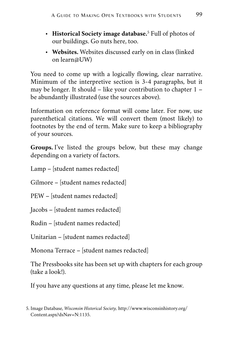- **[Historical Society image database](http://www.wisconsinhistory.org/Content.aspx?dsNav=N:1135).** <sup>5</sup> Full of photos of our buildings. Go nuts here, too.
- **Websites.** Websites discussed early on in class (linked on learn@UW)

You need to come up with a logically flowing, clear narrative. Minimum of the interpretive section is 3-4 paragraphs, but it may be longer. It should – like your contribution to chapter 1 – be abundantly illustrated (use the sources above).

Information on reference format will come later. For now, use parenthetical citations. We will convert them (most likely) to footnotes by the end of term. Make sure to keep a bibliography of your sources.

**Groups.** I've listed the groups below, but these may change depending on a variety of factors.

Lamp – [student names redacted]

Gilmore – [student names redacted]

PEW – [student names redacted]

Jacobs – [student names redacted]

Rudin – [student names redacted]

Unitarian – [student names redacted]

Monona Terrace – [student names redacted]

The Pressbooks site has been set up with chapters for each group (take a look!).

If you have any questions at any time, please let me know.

<sup>5.</sup> Image Database, *Wisconsin Historical Society,* [http://www.wisconsinhistory.org/](http://www.wisconsinhistory.org/Content.aspx?dsNav=N:1135) [Content.aspx?dsNav=N:1135](http://www.wisconsinhistory.org/Content.aspx?dsNav=N:1135).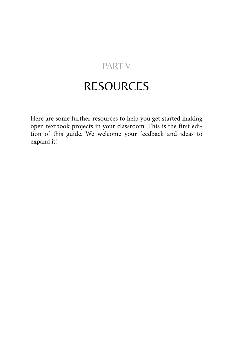# PART V

# RESOURCES

Here are some further resources to help you get started making open textbook projects in your classroom. This is the first edition of this guide. We welcome your feedback and ideas to expand it!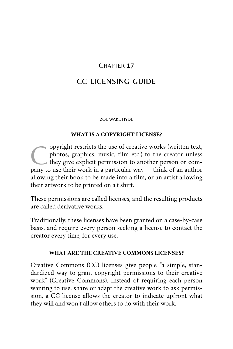### CHAPTER 17

# <span id="page-110-0"></span>CC LICENSING GUIDE

#### ZOE WAKE HYDE

#### **WHAT IS A COPYRIGHT LICENSE?**

C opyright restricts the use of creative works (written text,<br>
photos, graphics, music, film etc.) to the creator unless<br>
they give explicit permission to another person or com-<br>
many to use their work in a nartiaular way photos, graphics, music, film etc.) to the creator unless pany to use their work in a particular way — think of an author allowing their book to be made into a film, or an artist allowing their artwork to be printed on a t shirt.

These permissions are called licenses, and the resulting products are called derivative works.

Traditionally, these licenses have been granted on a case-by-case basis, and require every person seeking a license to contact the creator every time, for every use.

#### **WHAT ARE THE CREATIVE COMMONS LICENSES?**

Creative Commons (CC) licenses give people "a simple, standardized way to grant copyright permissions to their creative work" ([Creative Commons\)](https://creativecommons.org/share-your-work/licensing-considerations/). Instead of requiring each person wanting to use, share or adapt the creative work to ask permission, a CC license allows the creator to indicate upfront what they will and won't allow others to do with their work.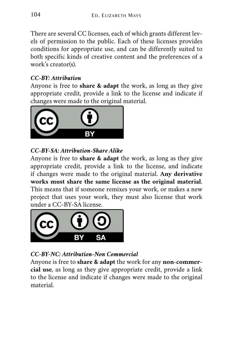There are several CC licenses, each of which grants different levels of permission to the public. Each of these licenses provides conditions for appropriate use, and can be differently suited to both specific kinds of creative content and the preferences of a work's creator(s).

### *[CC-BY: Attribution](https://creativecommons.org/licenses/by/4.0/)*

Anyone is free to **share & adapt** the work, as long as they give appropriate credit, provide a link to the license and indicate if changes were made to the original material.



# *[CC-BY-SA: Attribution-Share Alike](https://creativecommons.org/licenses/by-sa/4.0/)*

Anyone is free to **share & adapt** the work, as long as they give appropriate credit, provide a link to the license, and indicate if changes were made to the original material. **Any derivative works must share the same license as the original material**. This means that if someone remixes your work, or makes a new project that uses your work, they must also license that work under a CC-BY-SA license.



# *[CC-BY-NC: Attribution-Non Commercial](https://creativecommons.org/licenses/by-nc/4.0/)*

Anyone is free to **share & adapt** the work for any **non-commercial use**, as long as they give appropriate credit, provide a link to the license and indicate if changes were made to the original material.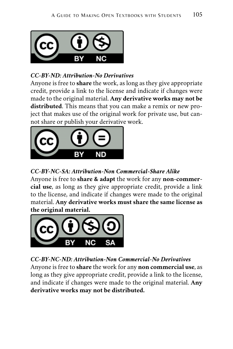

### *[CC-BY-ND: Attribution-No Derivatives](https://creativecommons.org/licenses/by-nd/4.0/)*

Anyone is free to **share** the work, as long as they give appropriate credit, provide a link to the license and indicate if changes were made to the original material. **Any derivative works may not be distributed**. This means that you can make a remix or new project that makes use of the original work for private use, but cannot share or publish your derivative work.



*[CC-BY-NC-SA: Attribution-Non Commercial-Share Alike](https://creativecommons.org/licenses/by-nc-sa/4.0/)* 

Anyone is free to **share & adapt** the work for any **non-commercial use**, as long as they give appropriate credit, provide a link to the license, and indicate if changes were made to the original material. **Any derivative works must share the same license as the original material.** 



*[CC-BY-NC-ND: Attribution-Non Commercial-No Derivatives](https://creativecommons.org/licenses/by-nc-nd/4.0/)*  Anyone is free to **share** the work for any **non commercial use**, as long as they give appropriate credit, provide a link to the license, and indicate if changes were made to the original material. **Any derivative works may not be distributed.**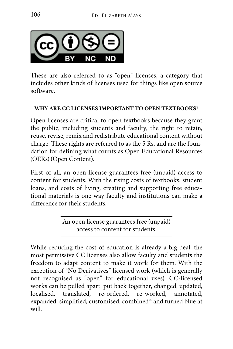

These are also referred to as "open" licenses, a category that includes other kinds of licenses used for things like open source software.

### **WHY ARE CC LICENSES IMPORTANT TO OPEN TEXTBOOKS?**

Open licenses are critical to open textbooks because they grant the public, including students and faculty, the right to retain, reuse, revise, remix and redistribute educational content without charge. These rights are referred to as the 5 Rs, and are the foundation for defining what counts as Open Educational Resources (OERs) ([Open Content\)](http://opencontent.org/definition/).

First of all, an open license guarantees free (unpaid) access to content for students. With the rising costs of textbooks, student loans, and costs of living, creating and supporting free educational materials is one way faculty and institutions can make a difference for their students.

> An open license guarantees free (unpaid) access to content for students.

While reducing the cost of education is already a big deal, the most permissive CC licenses also allow faculty and students the freedom to adapt content to make it work for them. With the exception of "No Derivatives" licensed work (which is generally not recognised as "open" for educational uses), CC-licensed works can be pulled apart, put back together, changed, updated, localised, translated, re-ordered, re-worked, annotated, expanded, simplified, customised, combined\* and turned blue at will.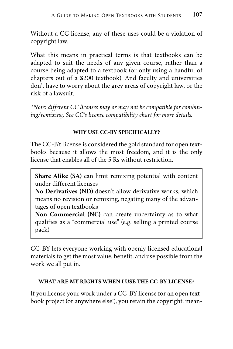Without a CC license, any of these uses could be a violation of copyright law.

What this means in practical terms is that textbooks can be adapted to suit the needs of any given course, rather than a course being adapted to a textbook (or only using a handful of chapters out of a \$200 textbook). And faculty and universities don't have to worry about the grey areas of copyright law, or the risk of a lawsuit.

*\*Note: different CC licenses may or may not be compatible for combining/remixing. See CC's [license compatibility chart](https://wiki.creativecommons.org/wiki/Wiki/cc_license_compatibility) for more details.* 

#### **WHY USE CC-BY SPECIFICALLY?**

The CC-BY license is considered the gold standard for open textbooks because it allows the most freedom, and it is the only license that enables all of the 5 Rs without restriction.

**Share Alike (SA)** can limit remixing potential with content under different licenses

**No Derivatives (ND)** doesn't allow derivative works, which means no revision or remixing, negating many of the advantages of open textbooks

**Non Commercial (NC)** can create uncertainty as to what qualifies as a "commercial use" (e.g. selling a printed course pack)

CC-BY lets everyone working with openly licensed educational materials to get the most value, benefit, and use possible from the work we all put in.

#### **WHAT ARE MY RIGHTS WHEN I USE THE CC-BY LICENSE?**

If you license your work under a CC-BY license for an open textbook project (or anywhere else!), you retain the copyright, mean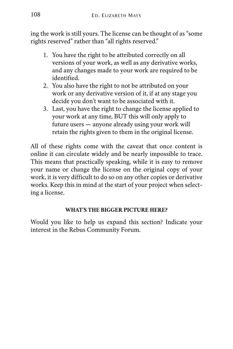ing the work is still yours. The license can be thought of as "some rights reserved" rather than "all rights reserved."

- 1. You have the right to be attributed correctly on all versions of your work, as well as any derivative works, and any changes made to your work are required to be identified.
- 2. You also have the right to not be attributed on your work or any derivative version of it, if at any stage you decide you don't want to be associated with it.
- 3. Last, you have the right to change the license applied to your work at any time, BUT this will only apply to future users — anyone already using your work will retain the rights given to them in the original license.

All of these rights come with the caveat that once content is online it can circulate widely and be nearly impossible to trace. This means that practically speaking, while it is easy to remove your name or change the license on the original copy of your work, it is very difficult to do so on any other copies or derivative works. Keep this in mind at the start of your project when selecting a license.

### **WHAT'S THE BIGGER PICTURE HERE?**

Would you like to help us expand this section? Indicate your interest in the Rebus Community Forum.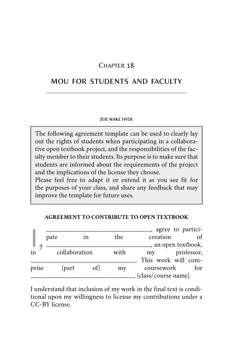### CHAPTER 18

# MOU FOR STUDENTS AND FACULTY

#### ZOE WAKE HYDE

The following agreement template can be used to clearly lay out the rights of students when participating in a collaborative open textbook project, and the responsibilities of the faculty member to their students. Its purpose is to make sure that students are informed about the requirements of the project and the implications of the license they choose.

Please feel free to adapt it or extend it as you see fit for the purposes of your class, and share any feedback that may improve the template for future uses.

#### **AGREEMENT TO CONTRIBUTE TO OPEN TEXTBOOK**

|       |               |    |      |                      | -, agree to partici- |  |
|-------|---------------|----|------|----------------------|----------------------|--|
|       | pate          | 1n | the  | creation             |                      |  |
|       |               |    |      | -, an open textbook, |                      |  |
| in    | collaboration |    | with |                      | my professor,        |  |
|       |               |    |      |                      | This work will com-  |  |
| prise | [part]        | of | my   | coursework           | for                  |  |
|       |               |    |      | [class/course name]. |                      |  |

I understand that inclusion of my work in the final text is conditional upon my willingness to license my contributions under a CC-BY license.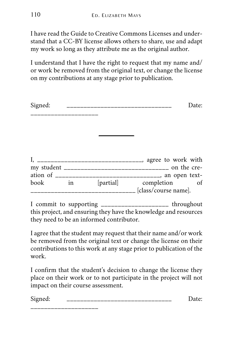I have read the [Guide to Creative Commons Licenses](#page-110-0) and understand that a CC-BY license allows others to share, use and adapt my work so long as they attribute me as the original author.

I understand that I have the right to request that my name and/ or work be removed from the original text, or change the license on my contributions at any stage prior to publication.

| Signed: |        | Date:                                                     |
|---------|--------|-----------------------------------------------------------|
|         |        |                                                           |
|         |        | my student __________________________________ on the cre- |
| book    | $\sin$ | [partial] completion of<br>[class/course name].           |

I commit to supporting \_\_\_\_\_\_\_\_\_\_\_\_\_\_\_\_\_\_\_\_ throughout this project, and ensuring they have the knowledge and resources they need to be an informed contributor.

I agree that the student may request that their name and/or work be removed from the original text or change the license on their contributions to this work at any stage prior to publication of the work.

I confirm that the student's decision to change the license they place on their work or to not participate in the project will not impact on their course assessment.

| Signed: | ____          |  |
|---------|---------------|--|
|         | ____<br>_____ |  |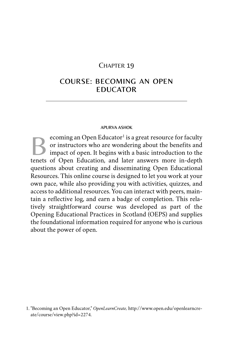### CHAPTER 19

### COURSE: BECOMING AN OPEN EDUCATOR

#### APURVA ASHOK

Ecoming an Open Educator<sup>[1](http://www.open.edu/openlearncreate/course/view.php?id=2274)</sup> is a great resource for faculty<br>or instructors who are wondering about the benefits and<br>impact of open. It begins with a basic introduction to the<br>tensts of Open Education, and later answers mor ecoming an Open Educator<sup>1</sup> is a great resource for faculty or instructors who are wondering about the benefits and tenets of Open Education, and later answers more in-depth questions about creating and disseminating Open Educational Resources. This online course is designed to let you work at your own pace, while also providing you with activities, quizzes, and access to additional resources. You can interact with peers, maintain a reflective log, and earn a badge of completion. This relatively straightforward course was developed as part of the Opening Educational Practices in Scotland (OEPS) and supplies the foundational information required for anyone who is curious about the power of open.

[<sup>1.</sup>](http://www.open.edu/openlearncreate/course/view.php?id=2274) "Becoming an Open Educator," *OpenLearnCreate,* [http://www.open.edu/openlearncre](http://www.open.edu/openlearncreate/course/view.php?id=2274)ate/course/view.php?id=2274.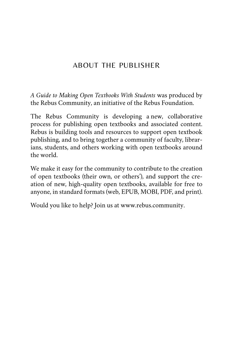# ABOUT THE PUBLISHER

*A Guide to Making Open Textbooks With Students* was produced by the [Rebus Community](https://about.rebus.community/), an initiative of the Rebus Foundation.

The Rebus Community is developing a new, collaborative process for publishing open textbooks and associated content. Rebus is building tools and resources to support open textbook publishing, and to bring together a community of faculty, librarians, students, and others working with open textbooks around the world.

We make it easy for the community to contribute to the creation of open textbooks (their own, or others'), and support the creation of new, high-quality open textbooks, available for free to anyone, in standard formats (web, EPUB, MOBI, PDF, and print).

Would you like to help? Join us at [www.rebus.community](http://www.rebus.community/).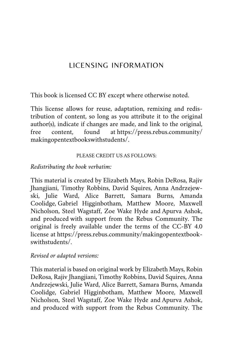# LICENSING INFORMATION

This book is licensed [CC BY e](https://creativecommons.org/licenses/by/4.0/)xcept where otherwise noted.

This license allows for reuse, adaptation, remixing and redistribution of content, so long as you attribute it to the original author(s), indicate if changes are made, and link to the original, free content, found at [https://press.rebus.community/](https://press.rebus.community/makingopentextbookswithstudents/) [makingopentextbookswithstudents/](https://press.rebus.community/makingopentextbookswithstudents/).

#### PLEASE CREDIT US AS FOLLOWS:

#### *Redistributing the book verbatim:*

This material is created by Elizabeth Mays, Robin DeRosa, Rajiv Jhangjiani, Timothy Robbins, David Squires, Anna Andrzejewski, Julie Ward, Alice Barrett, Samara Burns, Amanda Coolidge, Gabriel Higginbotham, Matthew Moore, Maxwell Nicholson, Steel Wagstaff, Zoe Wake Hyde and Apurva Ashok, and produced with support from the Rebus Community. The original is freely available under the terms of the CC-BY 4.0 license at [https://press.rebus.community/makingopentextbook](https://press.rebus.community/makingopentextbookswithstudents/)[swithstudents/.](https://press.rebus.community/makingopentextbookswithstudents/)

#### *Revised or adapted versions:*

This material is based on original work by Elizabeth Mays, Robin DeRosa, Rajiv Jhangjiani, Timothy Robbins, David Squires, Anna Andrzejewski, Julie Ward, Alice Barrett, Samara Burns, Amanda Coolidge, Gabriel Higginbotham, Matthew Moore, Maxwell Nicholson, Steel Wagstaff, Zoe Wake Hyde and Apurva Ashok, and produced with support from the Rebus Community. The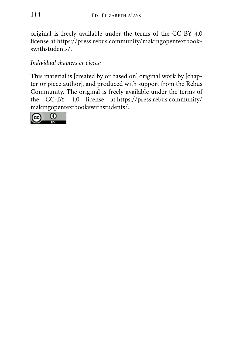original is freely available under the terms of the CC-BY 4.0 license at [https://press.rebus.community/makingopentextbook](https://press.rebus.community/makingopentextbookswithstudents/)[swithstudents/.](https://press.rebus.community/makingopentextbookswithstudents/)

*Individual chapters or pieces:*

This material is [created by or based on] original work by [chapter or piece author], and produced with support from the Rebus Community. The original is freely available under the terms of the CC-BY 4.0 license at [https://press.rebus.community/](https://press.rebus.community/makingopentextbookswithstudents/) [makingopentextbookswithstudents/](https://press.rebus.community/makingopentextbookswithstudents/).

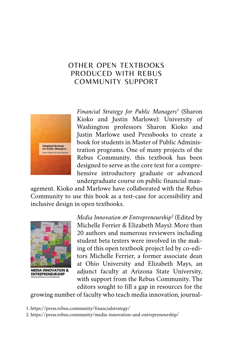### OTHER OPEN TEXTBOOKS PRODUCED WITH REBUS COMMUNITY SUPPORT



*[Financial Strategy for Public Managers](https://press.rebus.community/financialstrategy/)*<sup>1</sup> (Sharon Kioko and Justin Marlowe): University of Washington professors Sharon Kioko and Justin Marlowe used Pressbooks to create a book for students in Master of Public Administration programs. One of many projects of the Rebus Community, this textbook has been designed to serve as the core text for a comprehensive introductory graduate or advanced undergraduate course on public financial man-

agement. Kioko and Marlowe have collaborated with the Rebus Community to use this book as a test-case for accessibility and inclusive design in open textbooks.



**MEDIA INNOVATION & ENTREPRENEURSHIP** 

*[Media Innovation & Entrepreneurship](https://press.rebus.community/media-innovation-and-entrepreneurship/)*<sup>2</sup> (Edited by Michelle Ferrier & Elizabeth Mays): More than 20 authors and numerous reviewers including student beta testers were involved in the making of this open textbook project led by co-editors Michelle Ferrier, a former associate dean at Ohio University and Elizabeth Mays, an adjunct faculty at Arizona State University, with support from the Rebus Community. The editors sought to fill a gap in resources for the

growing number of faculty who teach media innovation, journal-

- 1. https://press.rebus.community/financialstrategy/
- 2. https://press.rebus.community/media-innovation-and-entrepreneurship/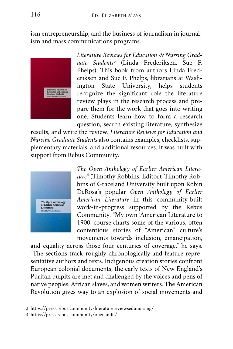ism entrepreneurship, and the business of journalism in journalism and mass communications programs.



*[Literature Reviews for Education & Nursing Grad](https://press.rebus.community/literaturereviewsedunursing/)[uate Students](https://press.rebus.community/literaturereviewsedunursing/)*<sup>3</sup> (Linda Frederiksen, Sue F. Phelps): This book from authors Linda Frederiksen and Sue F. Phelps, librarians at Washington State University, helps students recognize the significant role the literature review plays in the research process and prepare them for the work that goes into writing one. Students learn how to form a research question, search existing literature, synthesize

results, and write the review. *Literature Reviews for Education and Nursing Graduate Students* also contains examples, checklists, supplementary materials, and additional resources. It was built with support from Rebus Community.



*[The Open Anthology of Earlier American Litera](https://press.rebus.community/openamlit/)[ture](https://press.rebus.community/openamlit/)* 4 (Timothy Robbins, Editor): Timothy Robbins of Graceland University built upon Robin DeRosa's popular *Open Anthology of Earlier American Literature* in this community-built work-in-progress supported by the Rebus Community. "My own 'American Literature to 1900' course charts some of the various, often contentious stories of "American" culture's movements towards inclusion, emancipation,

and equality across those four centuries of coverage," he says. "The sections track roughly chronologically and feature representative authors and texts. Indigenous creation stories confront European colonial documents; the early texts of New England's Puritan pulpits are met and challenged by the voices and pens of native peoples, African slaves, and women writers. The American Revolution gives way to an explosion of social movements and

<sup>3.</sup> https://press.rebus.community/literaturereviewsedunursing/

<sup>4.</sup> https://press.rebus.community/openamlit/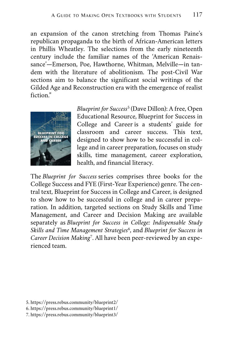an expansion of the canon stretching from Thomas Paine's republican propaganda to the birth of African-American letters in Phillis Wheatley. The selections from the early nineteenth century include the familiar names of the 'American Renaissance'—Emerson, Poe, Hawthorne, Whitman, Melville—in tandem with the literature of abolitionism. The post-Civil War sections aim to balance the significant social writings of the Gilded Age and Reconstruction era with the emergence of realist fiction."



*[Blueprint for Success](https://press.rebus.community/blueprint2/)*<sup>5</sup> (Dave Dillon): A free, Open Educational Resource, Blueprint for Success in College and Career is a students' guide for classroom and career success. This text, designed to show how to be successful in college and in career preparation, focuses on study skills, time management, career exploration, health, and financial literacy.

The *Blueprint for Success* series comprises three books for the College Success and FYE (First-Year Experience) genre. The central text, Blueprint for Success in College and Career, is designed to show how to be successful in college and in career preparation. In addition, targeted sections on Study Skills and Time Management, and Career and Decision Making are available separately as *[Blueprint for Success in College: Indispensable Study](https://press.rebus.community/blueprint1/) [Skills and Time Management Strategies](https://press.rebus.community/blueprint1/)*<sup>6</sup> , and *[Blueprint for Success in](https://press.rebus.community/blueprint3/) [Career Decision Making](https://press.rebus.community/blueprint3/)*<sup>7</sup> . All have been peer-reviewed by an experienced team.

- 5. https://press.rebus.community/blueprint2/
- 6. https://press.rebus.community/blueprint1/
- 7. https://press.rebus.community/blueprint3/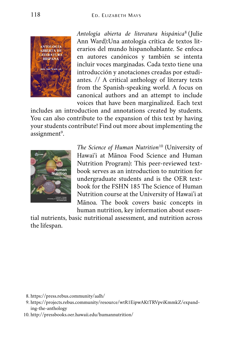

*[Antología abierta de literatura hispánica](https://press.rebus.community/aalh/)*<sup>8</sup> (Julie Ann Ward):Una antología crítica de textos literarios del mundo hispanohablante. Se enfoca en autores canónicos y también se intenta incluir voces marginadas. Cada texto tiene una introducción y anotaciones creadas por estudiantes. // A critical anthology of literary texts from the Spanish-speaking world. A focus on canonical authors and an attempt to include voices that have been marginalized. Each text

includes an introduction and annotations created by students. You can also contribute to the expansion of this text by having your students contribute! Find out more about implementing the [assignment](https://projects.rebus.community/resource/wtR1EipwAKtTRVpviKmmkZ/expanding-the-anthology)<sup>9</sup>.



*[The Science of Human Nutrition](http://pressbooks.oer.hawaii.edu/humannutrition/)*<sup>10</sup> (University of Hawai'i at Mānoa Food Science and Human Nutrition Program): This peer-reviewed textbook serves as an introduction to nutrition for undergraduate students and is the OER textbook for the FSHN 185 The Science of Human Nutrition course at the University of Hawai'i at Mānoa. The book covers basic concepts in human nutrition, key information about essen-

tial nutrients, basic nutritional assessment, and nutrition across the lifespan.

- 8. https://press.rebus.community/aalh/
- 9. https://projects.rebus.community/resource/wtR1EipwAKtTRVpviKmmkZ/expanding-the-anthology
- 10. http://pressbooks.oer.hawaii.edu/humannutrition/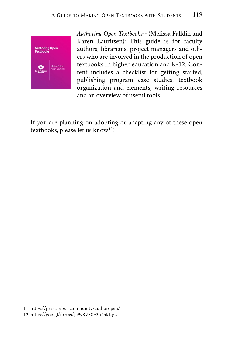

*[Authoring Open Textbooks](https://press.rebus.community/authoropen/)*<sup>11</sup> (Melissa Falldin and Karen Lauritsen): This guide is for faculty authors, librarians, project managers and others who are involved in the production of open textbooks in higher education and K-12. Content includes a checklist for getting started, publishing program case studies, textbook organization and elements, writing resources and an overview of useful tools.

If you are planning on adopting or adapting any of these open textbooks, please [let us know](https://goo.gl/forms/Je9v8V30F3u4hkKg2)<sup>12</sup>!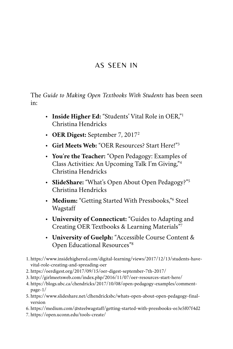# AS SEEN IN

The *Guide to Making Open Textbooks With Students* has been seen in:

- **Inside Higher Ed:** ["Students' Vital Role in OER](https://www.insidehighered.com/digital-learning/views/2017/12/13/students-have-vital-role-creating-and-spreading-oer)," 1 Christina Hendricks
- **OER Digest:** [September 7, 2017](https://oerdigest.org/2017/09/15/oer-digest-september-7th-2017/)<sup>2</sup>
- **Girl Meets Web:** "[OER Resources? Start Here!](http://girlmeetsweb.com/index.php/2016/11/07/oer-resources-start-here/)" 3
- **You're the Teacher:** "[Open Pedagogy: Examples of](https://blogs.ubc.ca/chendricks/2017/10/08/open-pedagogy-examples/comment-page-1/)  [Class Activities: An Upcoming Talk I'm Giving](https://blogs.ubc.ca/chendricks/2017/10/08/open-pedagogy-examples/comment-page-1/)," 4 Christina Hendricks
- **SlideShare:** ["What's Open About Open Pedagogy?"](https://www.slideshare.net/clhendricksbc/whats-open-about-open-pedagogy-final-version) 5 Christina Hendricks
- **Medium:** "[Getting Started With Pressbooks](https://medium.com/@steelwagstaff/getting-started-with-pressbooks-ee3e5f07f4d2)," <sup>6</sup> Steel Wagstaff
- **University of Connecticut:** "[Guides to Adapting and](https://open.uconn.edu/tools-create/) [Creating OER Textbooks & Learning Materials](https://open.uconn.edu/tools-create/)" 7
- **University of Guelph:** ["Accessible Course Content &](https://www.lib.uoguelph.ca/find/find-type-resource/accessible-course-content-open-educational-resources)  [Open Educational Resources](https://www.lib.uoguelph.ca/find/find-type-resource/accessible-course-content-open-educational-resources)" 8
- 1. [https://www.insidehighered.com/digital-learning/views/2017/12/13/students-have](https://www.insidehighered.com/digital-learning/views/2017/12/13/students-have-vital-role-creating-and-spreading-oer)[vital-role-creating-and-spreading-oer](https://www.insidehighered.com/digital-learning/views/2017/12/13/students-have-vital-role-creating-and-spreading-oer)
- 2. <https://oerdigest.org/2017/09/15/oer-digest-september-7th-2017/>
- 3. <http://girlmeetsweb.com/index.php/2016/11/07/oer-resources-start-here/>
- 4. [https://blogs.ubc.ca/chendricks/2017/10/08/open-pedagogy-examples/comment](https://blogs.ubc.ca/chendricks/2017/10/08/open-pedagogy-examples/comment-page-1/)[page-1/](https://blogs.ubc.ca/chendricks/2017/10/08/open-pedagogy-examples/comment-page-1/)
- 5. https://www.slideshare.net/clhendricksbc/whats-open-about-open-pedagogy-finalversion
- 6. <https://medium.com/@steelwagstaff/getting-started-with-pressbooks-ee3e5f07f4d2>
- 7. <https://open.uconn.edu/tools-create/>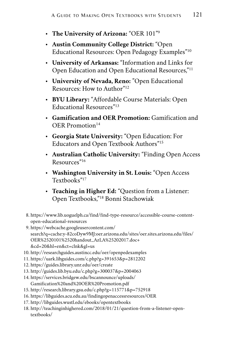- **The University of Arizona:** "[OER 101](https://webcache.googleusercontent.com/search?q=cache:y-82coDyw9MJ:oer.arizona.edu/sites/oer.sites.arizona.edu/files/OER%2520101%2520handout_AzLA%25202017.doc+%20&cd=20&hl=en&ct=clnk&gl=us)" 9
- **Austin Community College District:** ["Open](http://researchguides.austincc.edu/oer/openpedexamples)  [Educational Resources: Open Pedagogy Examples"](http://researchguides.austincc.edu/oer/openpedexamples) 10
- **University of Arkansas:** "[Information and Links for](https://uark.libguides.com/c.php?g=391653&p=2812202) [Open Education and Open Educational Resources,](https://uark.libguides.com/c.php?g=391653&p=2812202)" 11
- **University of Nevada, Reno:** ["Open Educational](https://guides.library.unr.edu/oer/create) [Resources: How to Author"](https://guides.library.unr.edu/oer/create) 12
- **BYU Library:** "[Affordable Course Materials: Open](http://guides.lib.byu.edu/c.php?g=300037&p=2004063) [Educational Resources](http://guides.lib.byu.edu/c.php?g=300037&p=2004063)" 13
- **Gamification and OER Promotion:** [Gamification and](https://services.bridgew.edu/bscannounce/uploads/Gamification%20and%20OER%20Promotion.pdf) [OER Promotion](https://services.bridgew.edu/bscannounce/uploads/Gamification%20and%20OER%20Promotion.pdf)<sup>14</sup>
- **Georgia State University:** ["Open Education: For](http://research.library.gsu.edu/c.php?g=115771&p=752918)  [Educators and Open Textbook Authors](http://research.library.gsu.edu/c.php?g=115771&p=752918)" 15
- **Australian Catholic University:** ["Finding Open Access](https://libguides.acu.edu.au/findingopenaccessresources/OER) [Resources"](https://libguides.acu.edu.au/findingopenaccessresources/OER) 16
- **Washington University in St. Louis:** "[Open Access](http://libguides.wustl.edu/ebooks/opentextbooks) [Textbooks"](http://libguides.wustl.edu/ebooks/opentextbooks) 17
- **Teaching in Higher Ed:** "[Question from a Listener:](http://teachinginhighered.com/2018/01/21/question-from-a-listener-open-textbooks/) [Open Textbooks,](http://teachinginhighered.com/2018/01/21/question-from-a-listener-open-textbooks/)" <sup>18</sup> Bonni Stachowiak
- 8. [https://www.lib.uoguelph.ca/find/find-type-resource/accessible-course-content](https://www.lib.uoguelph.ca/find/find-type-resource/accessible-course-content-open-educational-resources)[open-educational-resources](https://www.lib.uoguelph.ca/find/find-type-resource/accessible-course-content-open-educational-resources)
- 9. [https://webcache.googleusercontent.com/](https://webcache.googleusercontent.com/search?q=cache:y-82coDyw9MJ:oer.arizona.edu/sites/oer.sites.arizona.edu/files/OER%2520101%2520handout_AzLA%25202017.doc+&cd=20&hl=en&ct=clnk&gl=us) [search?q=cache:y-82coDyw9MJ:oer.arizona.edu/sites/oer.sites.arizona.edu/files/](https://webcache.googleusercontent.com/search?q=cache:y-82coDyw9MJ:oer.arizona.edu/sites/oer.sites.arizona.edu/files/OER%2520101%2520handout_AzLA%25202017.doc+&cd=20&hl=en&ct=clnk&gl=us) [OER%2520101%2520handout\\_AzLA%25202017.doc+](https://webcache.googleusercontent.com/search?q=cache:y-82coDyw9MJ:oer.arizona.edu/sites/oer.sites.arizona.edu/files/OER%2520101%2520handout_AzLA%25202017.doc+&cd=20&hl=en&ct=clnk&gl=us) [&cd=20&hl=en&ct=clnk&gl=us](https://webcache.googleusercontent.com/search?q=cache:y-82coDyw9MJ:oer.arizona.edu/sites/oer.sites.arizona.edu/files/OER%2520101%2520handout_AzLA%25202017.doc+&cd=20&hl=en&ct=clnk&gl=us)
- 10. <http://researchguides.austincc.edu/oer/openpedexamples>
- 11. <https://uark.libguides.com/c.php?g=391653&p=2812202>
- 12. <https://guides.library.unr.edu/oer/create>
- 13. <http://guides.lib.byu.edu/c.php?g=300037&p=2004063>
- 14. [https://services.bridgew.edu/bscannounce/uploads/](https://services.bridgew.edu/bscannounce/uploads/Gamification%20and%20OER%20Promotion.pdf) [Gamification%20and%20OER%20Promotion.pdf](https://services.bridgew.edu/bscannounce/uploads/Gamification%20and%20OER%20Promotion.pdf)
- 15. <http://research.library.gsu.edu/c.php?g=115771&p=752918>
- 16. <https://libguides.acu.edu.au/findingopenaccessresources/OER>
- 17. <http://libguides.wustl.edu/ebooks/opentextbooks>
- 18. [http://teachinginhighered.com/2018/01/21/question-from-a-listener-open](http://teachinginhighered.com/2018/01/21/question-from-a-listener-open-textbooks/)[textbooks/](http://teachinginhighered.com/2018/01/21/question-from-a-listener-open-textbooks/)